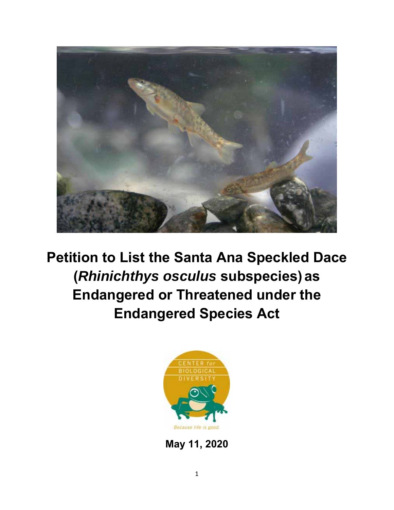

**Petition to List the Santa Ana Speckled Dace (***Rhinichthys osculus* **subspecies)as Endangered or Threatened under the Endangered Species Act** 



**May 11, 2020**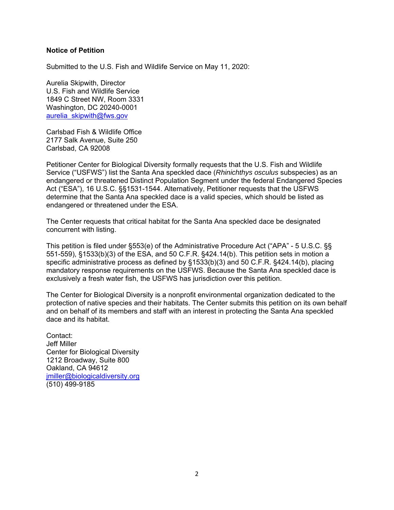### **Notice of Petition**

Submitted to the U.S. Fish and Wildlife Service on May 11, 2020:

Aurelia Skipwith, Director U.S. Fish and Wildlife Service 1849 C Street NW, Room 3331 Washington, DC 20240-0001 aurelia\_skipwith@fws.gov

Carlsbad Fish & Wildlife Office 2177 Salk Avenue, Suite 250 Carlsbad, CA 92008

Petitioner Center for Biological Diversity formally requests that the U.S. Fish and Wildlife Service ("USFWS") list the Santa Ana speckled dace (*Rhinichthys osculus* subspecies) as an endangered or threatened Distinct Population Segment under the federal Endangered Species Act ("ESA"), 16 U.S.C. §§1531-1544. Alternatively, Petitioner requests that the USFWS determine that the Santa Ana speckled dace is a valid species, which should be listed as endangered or threatened under the ESA.

The Center requests that critical habitat for the Santa Ana speckled dace be designated concurrent with listing.

This petition is filed under §553(e) of the Administrative Procedure Act ("APA" - 5 U.S.C. §§ 551-559), §1533(b)(3) of the ESA, and 50 C.F.R. §424.14(b). This petition sets in motion a specific administrative process as defined by §1533(b)(3) and 50 C.F.R. §424.14(b), placing mandatory response requirements on the USFWS. Because the Santa Ana speckled dace is exclusively a fresh water fish, the USFWS has jurisdiction over this petition.

The Center for Biological Diversity is a nonprofit environmental organization dedicated to the protection of native species and their habitats. The Center submits this petition on its own behalf and on behalf of its members and staff with an interest in protecting the Santa Ana speckled dace and its habitat.

Contact: Jeff Miller Center for Biological Diversity 1212 Broadway, Suite 800 Oakland, CA 94612 jmiller@biologicaldiversity.org (510) 499-9185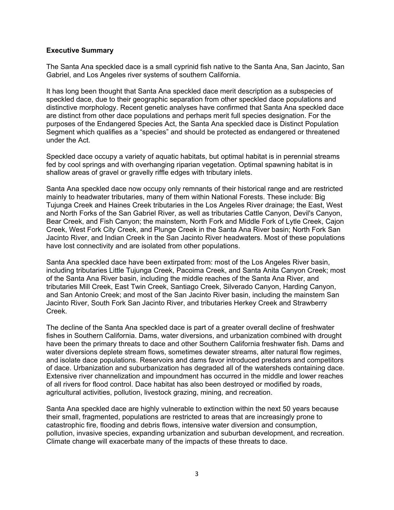#### **Executive Summary**

The Santa Ana speckled dace is a small cyprinid fish native to the Santa Ana, San Jacinto, San Gabriel, and Los Angeles river systems of southern California.

It has long been thought that Santa Ana speckled dace merit description as a subspecies of speckled dace, due to their geographic separation from other speckled dace populations and distinctive morphology. Recent genetic analyses have confirmed that Santa Ana speckled dace are distinct from other dace populations and perhaps merit full species designation. For the purposes of the Endangered Species Act, the Santa Ana speckled dace is Distinct Population Segment which qualifies as a "species" and should be protected as endangered or threatened under the Act.

Speckled dace occupy a variety of aquatic habitats, but optimal habitat is in perennial streams fed by cool springs and with overhanging riparian vegetation. Optimal spawning habitat is in shallow areas of gravel or gravelly riffle edges with tributary inlets.

Santa Ana speckled dace now occupy only remnants of their historical range and are restricted mainly to headwater tributaries, many of them within National Forests. These include: Big Tujunga Creek and Haines Creek tributaries in the Los Angeles River drainage; the East, West and North Forks of the San Gabriel River, as well as tributaries Cattle Canyon, Devil's Canyon, Bear Creek, and Fish Canyon; the mainstem, North Fork and Middle Fork of Lytle Creek, Cajon Creek, West Fork City Creek, and Plunge Creek in the Santa Ana River basin; North Fork San Jacinto River, and Indian Creek in the San Jacinto River headwaters. Most of these populations have lost connectivity and are isolated from other populations.

Santa Ana speckled dace have been extirpated from: most of the Los Angeles River basin, including tributaries Little Tujunga Creek, Pacoima Creek, and Santa Anita Canyon Creek; most of the Santa Ana River basin, including the middle reaches of the Santa Ana River, and tributaries Mill Creek, East Twin Creek, Santiago Creek, Silverado Canyon, Harding Canyon, and San Antonio Creek; and most of the San Jacinto River basin, including the mainstem San Jacinto River, South Fork San Jacinto River, and tributaries Herkey Creek and Strawberry Creek.

The decline of the Santa Ana speckled dace is part of a greater overall decline of freshwater fishes in Southern California. Dams, water diversions, and urbanization combined with drought have been the primary threats to dace and other Southern California freshwater fish. Dams and water diversions deplete stream flows, sometimes dewater streams, alter natural flow regimes, and isolate dace populations. Reservoirs and dams favor introduced predators and competitors of dace. Urbanization and suburbanization has degraded all of the watersheds containing dace. Extensive river channelization and impoundment has occurred in the middle and lower reaches of all rivers for flood control. Dace habitat has also been destroyed or modified by roads, agricultural activities, pollution, livestock grazing, mining, and recreation.

Santa Ana speckled dace are highly vulnerable to extinction within the next 50 years because their small, fragmented, populations are restricted to areas that are increasingly prone to catastrophic fire, flooding and debris flows, intensive water diversion and consumption, pollution, invasive species, expanding urbanization and suburban development, and recreation. Climate change will exacerbate many of the impacts of these threats to dace.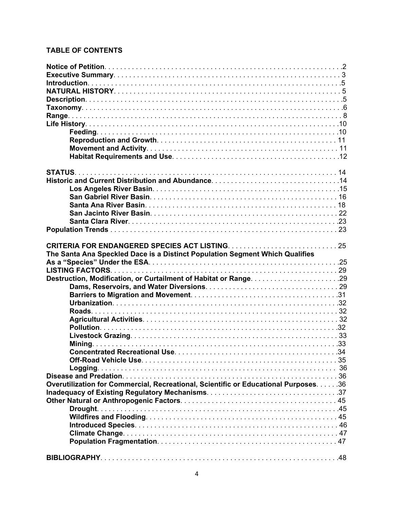# **TABLE OF CONTENTS**

| The Santa Ana Speckled Dace is a Distinct Population Segment Which Qualifies         |  |
|--------------------------------------------------------------------------------------|--|
|                                                                                      |  |
|                                                                                      |  |
|                                                                                      |  |
|                                                                                      |  |
|                                                                                      |  |
|                                                                                      |  |
|                                                                                      |  |
|                                                                                      |  |
|                                                                                      |  |
|                                                                                      |  |
|                                                                                      |  |
|                                                                                      |  |
|                                                                                      |  |
|                                                                                      |  |
|                                                                                      |  |
| Overutilization for Commercial, Recreational, Scientific or Educational Purposes. 36 |  |
|                                                                                      |  |
|                                                                                      |  |
| Drought                                                                              |  |
|                                                                                      |  |
|                                                                                      |  |
|                                                                                      |  |
|                                                                                      |  |
|                                                                                      |  |
|                                                                                      |  |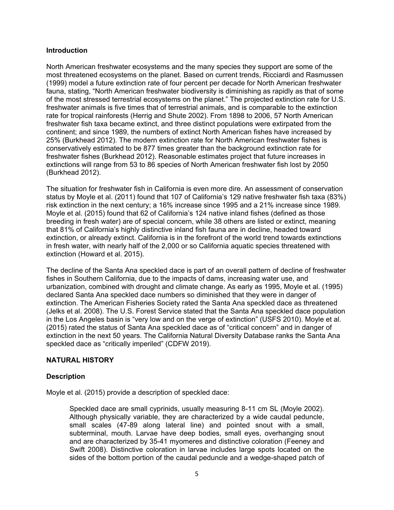### **Introduction**

North American freshwater ecosystems and the many species they support are some of the most threatened ecosystems on the planet. Based on current trends, Ricciardi and Rasmussen (1999) model a future extinction rate of four percent per decade for North American freshwater fauna, stating, "North American freshwater biodiversity is diminishing as rapidly as that of some of the most stressed terrestrial ecosystems on the planet." The projected extinction rate for U.S. freshwater animals is five times that of terrestrial animals, and is comparable to the extinction rate for tropical rainforests (Herrig and Shute 2002). From 1898 to 2006, 57 North American freshwater fish taxa became extinct, and three distinct populations were extirpated from the continent; and since 1989, the numbers of extinct North American fishes have increased by 25% (Burkhead 2012). The modern extinction rate for North American freshwater fishes is conservatively estimated to be 877 times greater than the background extinction rate for freshwater fishes (Burkhead 2012). Reasonable estimates project that future increases in extinctions will range from 53 to 86 species of North American freshwater fish lost by 2050 (Burkhead 2012).

The situation for freshwater fish in California is even more dire. An assessment of conservation status by Moyle et al. (2011) found that 107 of California's 129 native freshwater fish taxa (83%) risk extinction in the next century; a 16% increase since 1995 and a 21% increase since 1989. Moyle et al. (2015) found that 62 of California's 124 native inland fishes (defined as those breeding in fresh water) are of special concern, while 38 others are listed or extinct, meaning that 81% of California's highly distinctive inland fish fauna are in decline, headed toward extinction, or already extinct. California is in the forefront of the world trend towards extinctions in fresh water, with nearly half of the 2,000 or so California aquatic species threatened with extinction (Howard et al. 2015).

The decline of the Santa Ana speckled dace is part of an overall pattern of decline of freshwater fishes in Southern California, due to the impacts of dams, increasing water use, and urbanization, combined with drought and climate change. As early as 1995, Moyle et al. (1995) declared Santa Ana speckled dace numbers so diminished that they were in danger of extinction. The American Fisheries Society rated the Santa Ana speckled dace as threatened (Jelks et al. 2008). The U.S. Forest Service stated that the Santa Ana speckled dace population in the Los Angeles basin is "very low and on the verge of extinction" (USFS 2010). Moyle et al. (2015) rated the status of Santa Ana speckled dace as of "critical concern" and in danger of extinction in the next 50 years. The California Natural Diversity Database ranks the Santa Ana speckled dace as "critically imperiled" (CDFW 2019).

# **NATURAL HISTORY**

#### **Description**

Moyle et al. (2015) provide a description of speckled dace:

Speckled dace are small cyprinids, usually measuring 8-11 cm SL (Moyle 2002). Although physically variable, they are characterized by a wide caudal peduncle, small scales (47-89 along lateral line) and pointed snout with a small, subterminal, mouth. Larvae have deep bodies, small eyes, overhanging snout and are characterized by 35-41 myomeres and distinctive coloration (Feeney and Swift 2008). Distinctive coloration in larvae includes large spots located on the sides of the bottom portion of the caudal peduncle and a wedge-shaped patch of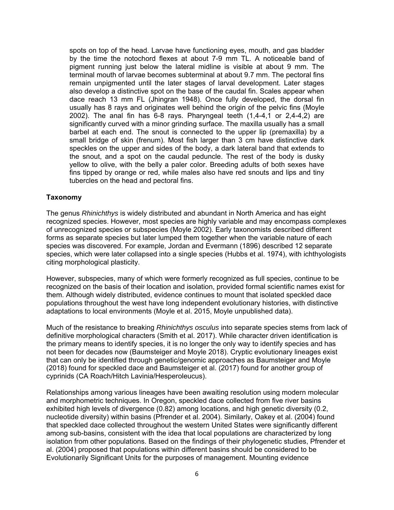spots on top of the head. Larvae have functioning eyes, mouth, and gas bladder by the time the notochord flexes at about 7-9 mm TL. A noticeable band of pigment running just below the lateral midline is visible at about 9 mm. The terminal mouth of larvae becomes subterminal at about 9.7 mm. The pectoral fins remain unpigmented until the later stages of larval development. Later stages also develop a distinctive spot on the base of the caudal fin. Scales appear when dace reach 13 mm FL (Jhingran 1948). Once fully developed, the dorsal fin usually has 8 rays and originates well behind the origin of the pelvic fins (Moyle 2002). The anal fin has  $6-8$  rays. Pharyngeal teeth  $(1,4-4,1)$  or  $(2,4-4,2)$  are significantly curved with a minor grinding surface. The maxilla usually has a small barbel at each end. The snout is connected to the upper lip (premaxilla) by a small bridge of skin (frenum). Most fish larger than 3 cm have distinctive dark speckles on the upper and sides of the body, a dark lateral band that extends to the snout, and a spot on the caudal peduncle. The rest of the body is dusky yellow to olive, with the belly a paler color. Breeding adults of both sexes have fins tipped by orange or red, while males also have red snouts and lips and tiny tubercles on the head and pectoral fins.

### **Taxonomy**

The genus *Rhinichthys* is widely distributed and abundant in North America and has eight recognized species. However, most species are highly variable and may encompass complexes of unrecognized species or subspecies (Moyle 2002). Early taxonomists described different forms as separate species but later lumped them together when the variable nature of each species was discovered. For example, Jordan and Evermann (1896) described 12 separate species, which were later collapsed into a single species (Hubbs et al. 1974), with ichthyologists citing morphological plasticity.

However, subspecies, many of which were formerly recognized as full species, continue to be recognized on the basis of their location and isolation, provided formal scientific names exist for them. Although widely distributed, evidence continues to mount that isolated speckled dace populations throughout the west have long independent evolutionary histories, with distinctive adaptations to local environments (Moyle et al. 2015, Moyle unpublished data).

Much of the resistance to breaking *Rhinichthys osculus* into separate species stems from lack of definitive morphological characters (Smith et al. 2017). While character driven identification is the primary means to identify species, it is no longer the only way to identify species and has not been for decades now (Baumsteiger and Moyle 2018). Cryptic evolutionary lineages exist that can only be identified through genetic/genomic approaches as Baumsteiger and Moyle (2018) found for speckled dace and Baumsteiger et al. (2017) found for another group of cyprinids (CA Roach/Hitch Lavinia/Hesperoleucus).

Relationships among various lineages have been awaiting resolution using modern molecular and morphometric techniques. In Oregon, speckled dace collected from five river basins exhibited high levels of divergence (0.82) among locations, and high genetic diversity (0.2, nucleotide diversity) within basins (Pfrender et al. 2004). Similarly, Oakey et al. (2004) found that speckled dace collected throughout the western United States were significantly different among sub-basins, consistent with the idea that local populations are characterized by long isolation from other populations. Based on the findings of their phylogenetic studies, Pfrender et al. (2004) proposed that populations within different basins should be considered to be Evolutionarily Significant Units for the purposes of management. Mounting evidence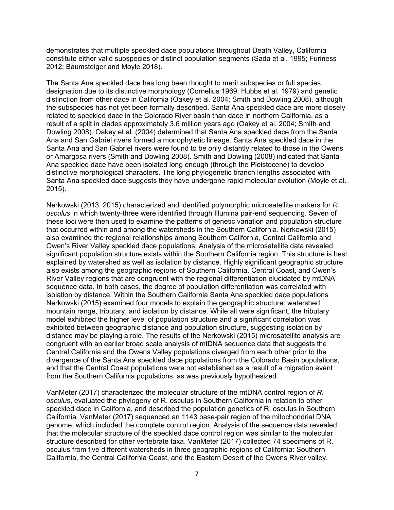demonstrates that multiple speckled dace populations throughout Death Valley, California constitute either valid subspecies or distinct population segments (Sada et al. 1995; Furiness 2012; Baumsteiger and Moyle 2018).

The Santa Ana speckled dace has long been thought to merit subspecies or full species designation due to its distinctive morphology (Cornelius 1969; Hubbs et al. 1979) and genetic distinction from other dace in California (Oakey et al. 2004; Smith and Dowling 2008), although the subspecies has not yet been formally described. Santa Ana speckled dace are more closely related to speckled dace in the Colorado River basin than dace in northern California, as a result of a split in clades approximately 3.6 million years ago (Oakey et al. 2004; Smith and Dowling 2008). Oakey et al. (2004) determined that Santa Ana speckled dace from the Santa Ana and San Gabriel rivers formed a monophyletic lineage. Santa Ana speckled dace in the Santa Ana and San Gabriel rivers were found to be only distantly related to those in the Owens or Amargosa rivers (Smith and Dowling 2008). Smith and Dowling (2008) indicated that Santa Ana speckled dace have been isolated long enough (through the Pleistocene) to develop distinctive morphological characters. The long phylogenetic branch lengths associated with Santa Ana speckled dace suggests they have undergone rapid molecular evolution (Moyle et al. 2015).

Nerkowski (2013, 2015) characterized and identified polymorphic microsatellite markers for *R. osculus* in which twenty-three were identified through Illumina pair-end sequencing. Seven of these loci were then used to examine the patterns of genetic variation and population structure that occurred within and among the watersheds in the Southern California. Nerkowski (2015) also examined the regional relationships among Southern California, Central California and Owen's River Valley speckled dace populations. Analysis of the microsatellite data revealed significant population structure exists within the Southern California region. This structure is best explained by watershed as well as isolation by distance. Highly significant geographic structure also exists among the geographic regions of Southern California, Central Coast, and Owen's River Valley regions that are congruent with the regional differentiation elucidated by mtDNA sequence data. In both cases, the degree of population differentiation was correlated with isolation by distance. Within the Southern California Santa Ana speckled dace populations Nerkowski (2015) examined four models to explain the geographic structure: watershed, mountain range, tributary, and isolation by distance. While all were significant, the tributary model exhibited the higher level of population structure and a significant correlation was exhibited between geographic distance and population structure, suggesting isolation by distance may be playing a role. The results of the Nerkowski (2015) microsatellite analysis are congruent with an earlier broad scale analysis of mtDNA sequence data that suggests the Central California and the Owens Valley populations diverged from each other prior to the divergence of the Santa Ana speckled dace populations from the Colorado Basin populations, and that the Central Coast populations were not established as a result of a migration event from the Southern California populations, as was previously hypothesized.

VanMeter (2017) characterized the molecular structure of the mtDNA control region of *R. osculus*, evaluated the phylogeny of R. osculus in Southern California in relation to other speckled dace in California, and described the population genetics of R. osculus in Southern California. VanMeter (2017) sequenced an 1143 base-pair region of the mitochondrial DNA genome, which included the complete control region. Analysis of the sequence data revealed that the molecular structure of the speckled dace control region was similar to the molecular structure described for other vertebrate taxa. VanMeter (2017) collected 74 specimens of R. osculus from five different watersheds in three geographic regions of California: Southern California, the Central California Coast, and the Eastern Desert of the Owens River valley.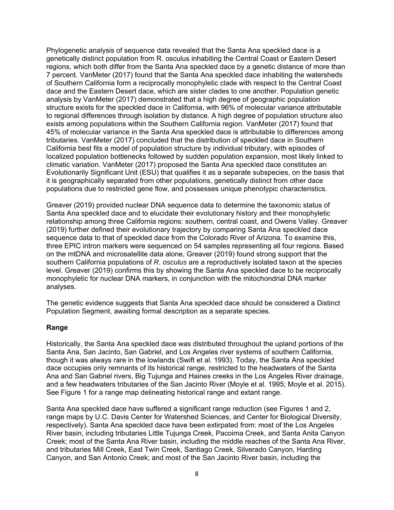Phylogenetic analysis of sequence data revealed that the Santa Ana speckled dace is a genetically distinct population from R. osculus inhabiting the Central Coast or Eastern Desert regions, which both differ from the Santa Ana speckled dace by a genetic distance of more than 7 percent. VanMeter (2017) found that the Santa Ana speckled dace inhabiting the watersheds of Southern California form a reciprocally monophyletic clade with respect to the Central Coast dace and the Eastern Desert dace, which are sister clades to one another. Population genetic analysis by VanMeter (2017) demonstrated that a high degree of geographic population structure exists for the speckled dace in California, with 96% of molecular variance attributable to regional differences through isolation by distance. A high degree of population structure also exists among populations within the Southern California region. VanMeter (2017) found that 45% of molecular variance in the Santa Ana speckled dace is attributable to differences among tributaries. VanMeter (2017) concluded that the distribution of speckled dace in Southern California best fits a model of population structure by individual tributary, with episodes of localized population bottlenecks followed by sudden population expansion, most likely linked to climatic variation. VanMeter (2017) proposed the Santa Ana speckled dace constitutes an Evolutionarily Significant Unit (ESU) that qualifies it as a separate subspecies, on the basis that it is geographically separated from other populations, genetically distinct from other dace populations due to restricted gene flow, and possesses unique phenotypic characteristics.

Greaver (2019) provided nuclear DNA sequence data to determine the taxonomic status of Santa Ana speckled dace and to elucidate their evolutionary history and their monophyletic relationship among three California regions: southern, central coast, and Owens Valley. Greaver (2019) further defined their evolutionary trajectory by comparing Santa Ana speckled dace sequence data to that of speckled dace from the Colorado River of Arizona. To examine this, three EPIC intron markers were sequenced on 54 samples representing all four regions. Based on the mtDNA and microsatellite data alone, Greaver (2019) found strong support that the southern California populations of *R. osculus* are a reproductively isolated taxon at the species level. Greaver (2019) confirms this by showing the Santa Ana speckled dace to be reciprocally monophyletic for nuclear DNA markers, in conjunction with the mitochondrial DNA marker analyses.

The genetic evidence suggests that Santa Ana speckled dace should be considered a Distinct Population Segment, awaiting formal description as a separate species.

#### **Range**

Historically, the Santa Ana speckled dace was distributed throughout the upland portions of the Santa Ana, San Jacinto, San Gabriel, and Los Angeles river systems of southern California, though it was always rare in the lowlands (Swift et al. 1993). Today, the Santa Ana speckled dace occupies only remnants of its historical range, restricted to the headwaters of the Santa Ana and San Gabriel rivers, Big Tujunga and Haines creeks in the Los Angeles River drainage, and a few headwaters tributaries of the San Jacinto River (Moyle et al. 1995; Moyle et al. 2015). See Figure 1 for a range map delineating historical range and extant range.

Santa Ana speckled dace have suffered a significant range reduction (see Figures 1 and 2, range maps by U.C. Davis Center for Watershed Sciences, and Center for Biological Diversity, respectively). Santa Ana speckled dace have been extirpated from: most of the Los Angeles River basin, including tributaries Little Tujunga Creek, Pacoima Creek, and Santa Anita Canyon Creek; most of the Santa Ana River basin, including the middle reaches of the Santa Ana River, and tributaries Mill Creek, East Twin Creek, Santiago Creek, Silverado Canyon, Harding Canyon, and San Antonio Creek; and most of the San Jacinto River basin, including the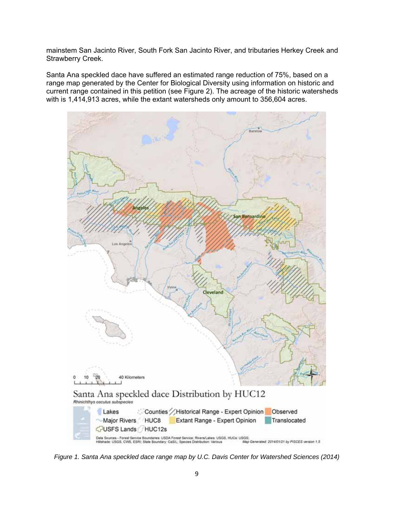mainstem San Jacinto River, South Fork San Jacinto River, and tributaries Herkey Creek and Strawberry Creek.

Santa Ana speckled dace have suffered an estimated range reduction of 75%, based on a range map generated by the Center for Biological Diversity using information on historic and current range contained in this petition (see Figure 2). The acreage of the historic watersheds with is 1,414,913 acres, while the extant watersheds only amount to 356,604 acres.



*Figure 1. Santa Ana speckled dace range map by U.C. Davis Center for Watershed Sciences (2014)*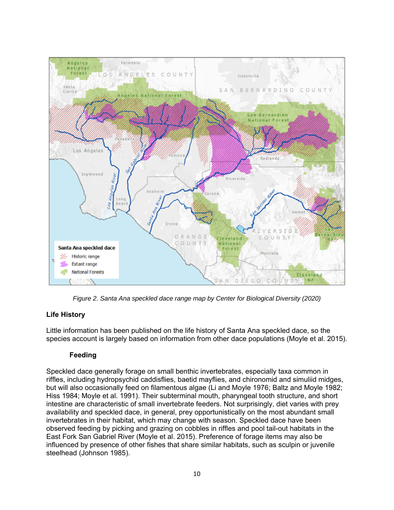

*Figure 2. Santa Ana speckled dace range map by Center for Biological Diversity (2020)* 

# **Life History**

Little information has been published on the life history of Santa Ana speckled dace, so the species account is largely based on information from other dace populations (Moyle et al. 2015).

# **Feeding**

Speckled dace generally forage on small benthic invertebrates, especially taxa common in riffles, including hydropsychid caddisflies, baetid mayflies, and chironomid and simuliid midges, but will also occasionally feed on filamentous algae (Li and Moyle 1976; Baltz and Moyle 1982; Hiss 1984; Moyle et al. 1991). Their subterminal mouth, pharyngeal tooth structure, and short intestine are characteristic of small invertebrate feeders. Not surprisingly, diet varies with prey availability and speckled dace, in general, prey opportunistically on the most abundant small invertebrates in their habitat, which may change with season. Speckled dace have been observed feeding by picking and grazing on cobbles in riffles and pool tail-out habitats in the East Fork San Gabriel River (Moyle et al. 2015). Preference of forage items may also be influenced by presence of other fishes that share similar habitats, such as sculpin or juvenile steelhead (Johnson 1985).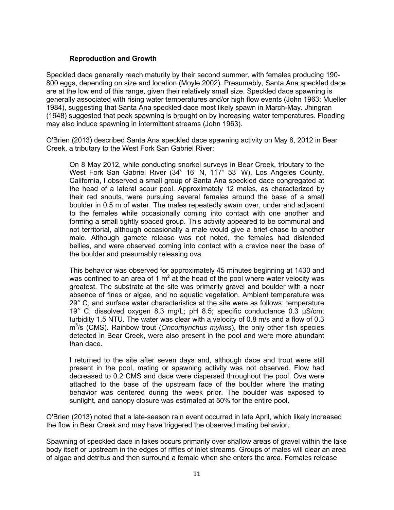# **Reproduction and Growth**

Speckled dace generally reach maturity by their second summer, with females producing 190- 800 eggs, depending on size and location (Moyle 2002). Presumably, Santa Ana speckled dace are at the low end of this range, given their relatively small size. Speckled dace spawning is generally associated with rising water temperatures and/or high flow events (John 1963; Mueller 1984), suggesting that Santa Ana speckled dace most likely spawn in March-May. Jhingran (1948) suggested that peak spawning is brought on by increasing water temperatures. Flooding may also induce spawning in intermittent streams (John 1963).

O'Brien (2013) described Santa Ana speckled dace spawning activity on May 8, 2012 in Bear Creek, a tributary to the West Fork San Gabriel River:

On 8 May 2012, while conducting snorkel surveys in Bear Creek, tributary to the West Fork San Gabriel River (34° 16' N, 117° 53' W), Los Angeles County, California, I observed a small group of Santa Ana speckled dace congregated at the head of a lateral scour pool. Approximately 12 males, as characterized by their red snouts, were pursuing several females around the base of a small boulder in 0.5 m of water. The males repeatedly swam over, under and adjacent to the females while occasionally coming into contact with one another and forming a small tightly spaced group. This activity appeared to be communal and not territorial, although occasionally a male would give a brief chase to another male. Although gamete release was not noted, the females had distended bellies, and were observed coming into contact with a crevice near the base of the boulder and presumably releasing ova.

This behavior was observed for approximately 45 minutes beginning at 1430 and was confined to an area of 1 m<sup>2</sup> at the head of the pool where water velocity was greatest. The substrate at the site was primarily gravel and boulder with a near absence of fines or algae, and no aquatic vegetation. Ambient temperature was 29° C, and surface water characteristics at the site were as follows: temperature 19° C; dissolved oxygen 8.3 mg/L; pH 8.5; specific conductance 0.3 μS/cm; turbidity 1.5 NTU. The water was clear with a velocity of 0.8 m/s and a flow of 0.3 m<sup>3</sup>/s (CMS). Rainbow trout (*Oncorhynchus mykiss*), the only other fish species detected in Bear Creek, were also present in the pool and were more abundant than dace.

I returned to the site after seven days and, although dace and trout were still present in the pool, mating or spawning activity was not observed. Flow had decreased to 0.2 CMS and dace were dispersed throughout the pool. Ova were attached to the base of the upstream face of the boulder where the mating behavior was centered during the week prior. The boulder was exposed to sunlight, and canopy closure was estimated at 50% for the entire pool.

O'Brien (2013) noted that a late-season rain event occurred in late April, which likely increased the flow in Bear Creek and may have triggered the observed mating behavior.

Spawning of speckled dace in lakes occurs primarily over shallow areas of gravel within the lake body itself or upstream in the edges of riffles of inlet streams. Groups of males will clear an area of algae and detritus and then surround a female when she enters the area. Females release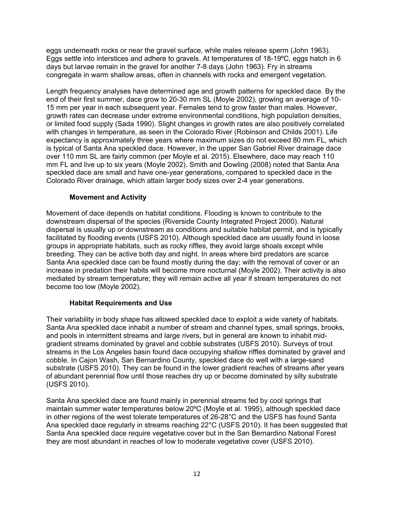eggs underneath rocks or near the gravel surface, while males release sperm (John 1963). Eggs settle into interstices and adhere to gravels. At temperatures of 18-19ºC, eggs hatch in 6 days but larvae remain in the gravel for another 7-8 days (John 1963). Fry in streams congregate in warm shallow areas, often in channels with rocks and emergent vegetation.

Length frequency analyses have determined age and growth patterns for speckled dace. By the end of their first summer, dace grow to 20-30 mm SL (Moyle 2002), growing an average of 10- 15 mm per year in each subsequent year. Females tend to grow faster than males. However, growth rates can decrease under extreme environmental conditions, high population densities, or limited food supply (Sada 1990). Slight changes in growth rates are also positively correlated with changes in temperature, as seen in the Colorado River (Robinson and Childs 2001). Life expectancy is approximately three years where maximum sizes do not exceed 80 mm FL, which is typical of Santa Ana speckled dace. However, in the upper San Gabriel River drainage dace over 110 mm SL are fairly common (per Moyle et al. 2015). Elsewhere, dace may reach 110 mm FL and live up to six years (Moyle 2002). Smith and Dowling (2008) noted that Santa Ana speckled dace are small and have one-year generations, compared to speckled dace in the Colorado River drainage, which attain larger body sizes over 2-4 year generations.

# **Movement and Activity**

Movement of dace depends on habitat conditions. Flooding is known to contribute to the downstream dispersal of the species (Riverside County Integrated Project 2000). Natural dispersal is usually up or downstream as conditions and suitable habitat permit, and is typically facilitated by flooding events (USFS 2010). Although speckled dace are usually found in loose groups in appropriate habitats, such as rocky riffles, they avoid large shoals except while breeding. They can be active both day and night. In areas where bird predators are scarce Santa Ana speckled dace can be found mostly during the day; with the removal of cover or an increase in predation their habits will become more nocturnal (Moyle 2002). Their activity is also mediated by stream temperature; they will remain active all year if stream temperatures do not become too low (Moyle 2002).

# **Habitat Requirements and Use**

Their variability in body shape has allowed speckled dace to exploit a wide variety of habitats. Santa Ana speckled dace inhabit a number of stream and channel types, small springs, brooks, and pools in intermittent streams and large rivers, but in general are known to inhabit midgradient streams dominated by gravel and cobble substrates (USFS 2010). Surveys of trout streams in the Los Angeles basin found dace occupying shallow riffles dominated by gravel and cobble. In Cajon Wash, San Bernardino County, speckled dace do well with a large-sand substrate (USFS 2010). They can be found in the lower gradient reaches of streams after years of abundant perennial flow until those reaches dry up or become dominated by silty substrate (USFS 2010).

Santa Ana speckled dace are found mainly in perennial streams fed by cool springs that maintain summer water temperatures below 20ºC (Moyle et al. 1995), although speckled dace in other regions of the west tolerate temperatures of 26-28°C and the USFS has found Santa Ana speckled dace regularly in streams reaching 22°C (USFS 2010). It has been suggested that Santa Ana speckled dace require vegetative cover but in the San Bernardino National Forest they are most abundant in reaches of low to moderate vegetative cover (USFS 2010).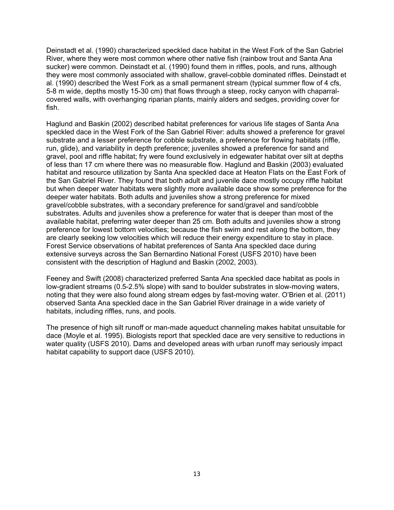Deinstadt et al. (1990) characterized speckled dace habitat in the West Fork of the San Gabriel River, where they were most common where other native fish (rainbow trout and Santa Ana sucker) were common. Deinstadt et al. (1990) found them in riffles, pools, and runs, although they were most commonly associated with shallow, gravel-cobble dominated riffles. Deinstadt et al. (1990) described the West Fork as a small permanent stream (typical summer flow of 4 cfs, 5-8 m wide, depths mostly 15-30 cm) that flows through a steep, rocky canyon with chaparralcovered walls, with overhanging riparian plants, mainly alders and sedges, providing cover for fish.

Haglund and Baskin (2002) described habitat preferences for various life stages of Santa Ana speckled dace in the West Fork of the San Gabriel River: adults showed a preference for gravel substrate and a lesser preference for cobble substrate, a preference for flowing habitats (riffle, run, glide), and variability in depth preference; juveniles showed a preference for sand and gravel, pool and riffle habitat; fry were found exclusively in edgewater habitat over silt at depths of less than 17 cm where there was no measurable flow. Haglund and Baskin (2003) evaluated habitat and resource utilization by Santa Ana speckled dace at Heaton Flats on the East Fork of the San Gabriel River. They found that both adult and juvenile dace mostly occupy riffle habitat but when deeper water habitats were slightly more available dace show some preference for the deeper water habitats. Both adults and juveniles show a strong preference for mixed gravel/cobble substrates, with a secondary preference for sand/gravel and sand/cobble substrates. Adults and juveniles show a preference for water that is deeper than most of the available habitat, preferring water deeper than 25 cm. Both adults and juveniles show a strong preference for lowest bottom velocities; because the fish swim and rest along the bottom, they are clearly seeking low velocities which will reduce their energy expenditure to stay in place. Forest Service observations of habitat preferences of Santa Ana speckled dace during extensive surveys across the San Bernardino National Forest (USFS 2010) have been consistent with the description of Haglund and Baskin (2002, 2003).

Feeney and Swift (2008) characterized preferred Santa Ana speckled dace habitat as pools in low-gradient streams (0.5-2.5% slope) with sand to boulder substrates in slow-moving waters, noting that they were also found along stream edges by fast-moving water. O'Brien et al. (2011) observed Santa Ana speckled dace in the San Gabriel River drainage in a wide variety of habitats, including riffles, runs, and pools.

The presence of high silt runoff or man-made aqueduct channeling makes habitat unsuitable for dace (Moyle et al. 1995). Biologists report that speckled dace are very sensitive to reductions in water quality (USFS 2010). Dams and developed areas with urban runoff may seriously impact habitat capability to support dace (USFS 2010).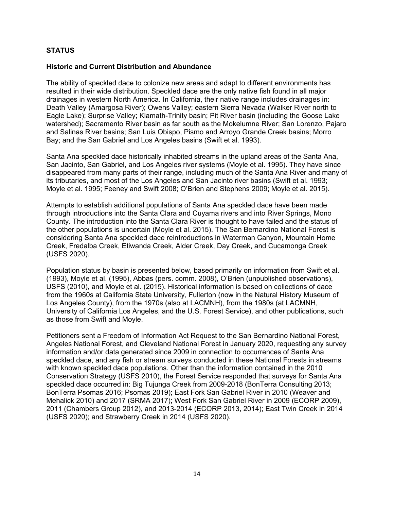# **STATUS**

#### **Historic and Current Distribution and Abundance**

The ability of speckled dace to colonize new areas and adapt to different environments has resulted in their wide distribution. Speckled dace are the only native fish found in all major drainages in western North America. In California, their native range includes drainages in: Death Valley (Amargosa River); Owens Valley; eastern Sierra Nevada (Walker River north to Eagle Lake); Surprise Valley; Klamath-Trinity basin; Pit River basin (including the Goose Lake watershed); Sacramento River basin as far south as the Mokelumne River; San Lorenzo, Pajaro and Salinas River basins; San Luis Obispo, Pismo and Arroyo Grande Creek basins; Morro Bay; and the San Gabriel and Los Angeles basins (Swift et al. 1993).

Santa Ana speckled dace historically inhabited streams in the upland areas of the Santa Ana, San Jacinto, San Gabriel, and Los Angeles river systems (Moyle et al. 1995). They have since disappeared from many parts of their range, including much of the Santa Ana River and many of its tributaries, and most of the Los Angeles and San Jacinto river basins (Swift et al. 1993; Moyle et al. 1995; Feeney and Swift 2008; O'Brien and Stephens 2009; Moyle et al. 2015).

Attempts to establish additional populations of Santa Ana speckled dace have been made through introductions into the Santa Clara and Cuyama rivers and into River Springs, Mono County. The introduction into the Santa Clara River is thought to have failed and the status of the other populations is uncertain (Moyle et al. 2015). The San Bernardino National Forest is considering Santa Ana speckled dace reintroductions in Waterman Canyon, Mountain Home Creek, Fredalba Creek, Etiwanda Creek, Alder Creek, Day Creek, and Cucamonga Creek (USFS 2020).

Population status by basin is presented below, based primarily on information from Swift et al. (1993), Moyle et al. (1995), Abbas (pers. comm. 2008), O'Brien (unpublished observations), USFS (2010), and Moyle et al. (2015). Historical information is based on collections of dace from the 1960s at California State University, Fullerton (now in the Natural History Museum of Los Angeles County), from the 1970s (also at LACMNH), from the 1980s (at LACMNH, University of California Los Angeles, and the U.S. Forest Service), and other publications, such as those from Swift and Moyle.

Petitioners sent a Freedom of Information Act Request to the San Bernardino National Forest, Angeles National Forest, and Cleveland National Forest in January 2020, requesting any survey information and/or data generated since 2009 in connection to occurrences of Santa Ana speckled dace, and any fish or stream surveys conducted in these National Forests in streams with known speckled dace populations. Other than the information contained in the 2010 Conservation Strategy (USFS 2010), the Forest Service responded that surveys for Santa Ana speckled dace occurred in: Big Tujunga Creek from 2009-2018 (BonTerra Consulting 2013; BonTerra Psomas 2016; Psomas 2019); East Fork San Gabriel River in 2010 (Weaver and Mehalick 2010) and 2017 (SRMA 2017); West Fork San Gabriel River in 2009 (ECORP 2009), 2011 (Chambers Group 2012), and 2013-2014 (ECORP 2013, 2014); East Twin Creek in 2014 (USFS 2020); and Strawberry Creek in 2014 (USFS 2020).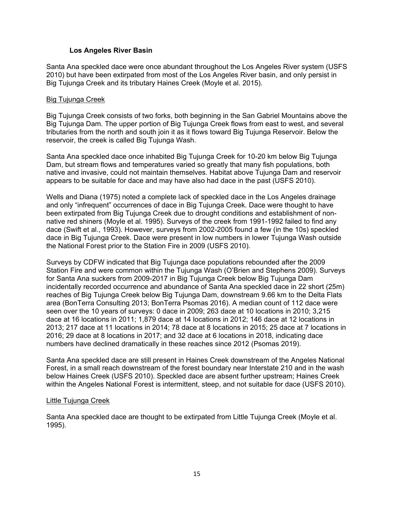### **Los Angeles River Basin**

Santa Ana speckled dace were once abundant throughout the Los Angeles River system (USFS 2010) but have been extirpated from most of the Los Angeles River basin, and only persist in Big Tujunga Creek and its tributary Haines Creek (Moyle et al. 2015).

### Big Tujunga Creek

Big Tujunga Creek consists of two forks, both beginning in the San Gabriel Mountains above the Big Tujunga Dam. The upper portion of Big Tujunga Creek flows from east to west, and several tributaries from the north and south join it as it flows toward Big Tujunga Reservoir. Below the reservoir, the creek is called Big Tujunga Wash.

Santa Ana speckled dace once inhabited Big Tujunga Creek for 10-20 km below Big Tujunga Dam, but stream flows and temperatures varied so greatly that many fish populations, both native and invasive, could not maintain themselves. Habitat above Tujunga Dam and reservoir appears to be suitable for dace and may have also had dace in the past (USFS 2010).

Wells and Diana (1975) noted a complete lack of speckled dace in the Los Angeles drainage and only "infrequent" occurrences of dace in Big Tujunga Creek. Dace were thought to have been extirpated from Big Tujunga Creek due to drought conditions and establishment of nonnative red shiners (Moyle et al. 1995). Surveys of the creek from 1991-1992 failed to find any dace (Swift et al., 1993). However, surveys from 2002-2005 found a few (in the 10s) speckled dace in Big Tujunga Creek. Dace were present in low numbers in lower Tujunga Wash outside the National Forest prior to the Station Fire in 2009 (USFS 2010).

Surveys by CDFW indicated that Big Tujunga dace populations rebounded after the 2009 Station Fire and were common within the Tujunga Wash (O'Brien and Stephens 2009). Surveys for Santa Ana suckers from 2009-2017 in Big Tujunga Creek below Big Tujunga Dam incidentally recorded occurrence and abundance of Santa Ana speckled dace in 22 short (25m) reaches of Big Tujunga Creek below Big Tujunga Dam, downstream 9.66 km to the Delta Flats area (BonTerra Consulting 2013; BonTerra Psomas 2016). A median count of 112 dace were seen over the 10 years of surveys: 0 dace in 2009; 263 dace at 10 locations in 2010; 3,215 dace at 16 locations in 2011; 1,879 dace at 14 locations in 2012; 146 dace at 12 locations in 2013; 217 dace at 11 locations in 2014; 78 dace at 8 locations in 2015; 25 dace at 7 locations in 2016; 29 dace at 8 locations in 2017; and 32 dace at 6 locations in 2018, indicating dace numbers have declined dramatically in these reaches since 2012 (Psomas 2019).

Santa Ana speckled dace are still present in Haines Creek downstream of the Angeles National Forest, in a small reach downstream of the forest boundary near Interstate 210 and in the wash below Haines Creek (USFS 2010). Speckled dace are absent further upstream; Haines Creek within the Angeles National Forest is intermittent, steep, and not suitable for dace (USFS 2010).

#### Little Tujunga Creek

Santa Ana speckled dace are thought to be extirpated from Little Tujunga Creek (Moyle et al. 1995).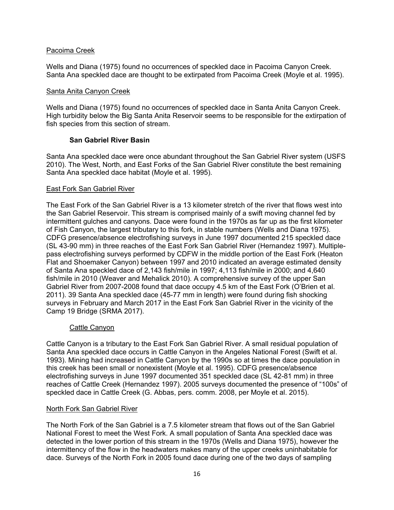# Pacoima Creek

Wells and Diana (1975) found no occurrences of speckled dace in Pacoima Canyon Creek. Santa Ana speckled dace are thought to be extirpated from Pacoima Creek (Moyle et al. 1995).

### Santa Anita Canyon Creek

Wells and Diana (1975) found no occurrences of speckled dace in Santa Anita Canyon Creek. High turbidity below the Big Santa Anita Reservoir seems to be responsible for the extirpation of fish species from this section of stream.

# **San Gabriel River Basin**

Santa Ana speckled dace were once abundant throughout the San Gabriel River system (USFS 2010). The West, North, and East Forks of the San Gabriel River constitute the best remaining Santa Ana speckled dace habitat (Moyle et al. 1995).

### East Fork San Gabriel River

The East Fork of the San Gabriel River is a 13 kilometer stretch of the river that flows west into the San Gabriel Reservoir. This stream is comprised mainly of a swift moving channel fed by intermittent gulches and canyons. Dace were found in the 1970s as far up as the first kilometer of Fish Canyon, the largest tributary to this fork, in stable numbers (Wells and Diana 1975). CDFG presence/absence electrofishing surveys in June 1997 documented 215 speckled dace (SL 43-90 mm) in three reaches of the East Fork San Gabriel River (Hernandez 1997). Multiplepass electrofishing surveys performed by CDFW in the middle portion of the East Fork (Heaton Flat and Shoemaker Canyon) between 1997 and 2010 indicated an average estimated density of Santa Ana speckled dace of 2,143 fish/mile in 1997; 4,113 fish/mile in 2000; and 4,640 fish/mile in 2010 (Weaver and Mehalick 2010). A comprehensive survey of the upper San Gabriel River from 2007-2008 found that dace occupy 4.5 km of the East Fork (O'Brien et al. 2011). 39 Santa Ana speckled dace (45-77 mm in length) were found during fish shocking surveys in February and March 2017 in the East Fork San Gabriel River in the vicinity of the Camp 19 Bridge (SRMA 2017).

# Cattle Canyon

Cattle Canyon is a tributary to the East Fork San Gabriel River. A small residual population of Santa Ana speckled dace occurs in Cattle Canyon in the Angeles National Forest (Swift et al. 1993). Mining had increased in Cattle Canyon by the 1990s so at times the dace population in this creek has been small or nonexistent (Moyle et al. 1995). CDFG presence/absence electrofishing surveys in June 1997 documented 351 speckled dace (SL 42-81 mm) in three reaches of Cattle Creek (Hernandez 1997). 2005 surveys documented the presence of "100s" of speckled dace in Cattle Creek (G. Abbas, pers. comm. 2008, per Moyle et al. 2015).

#### North Fork San Gabriel River

The North Fork of the San Gabriel is a 7.5 kilometer stream that flows out of the San Gabriel National Forest to meet the West Fork. A small population of Santa Ana speckled dace was detected in the lower portion of this stream in the 1970s (Wells and Diana 1975), however the intermittency of the flow in the headwaters makes many of the upper creeks uninhabitable for dace. Surveys of the North Fork in 2005 found dace during one of the two days of sampling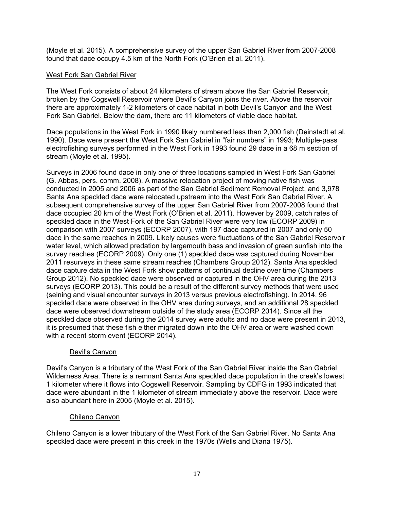(Moyle et al. 2015). A comprehensive survey of the upper San Gabriel River from 2007-2008 found that dace occupy 4.5 km of the North Fork (O'Brien et al. 2011).

# West Fork San Gabriel River

The West Fork consists of about 24 kilometers of stream above the San Gabriel Reservoir, broken by the Cogswell Reservoir where Devil's Canyon joins the river. Above the reservoir there are approximately 1-2 kilometers of dace habitat in both Devil's Canyon and the West Fork San Gabriel. Below the dam, there are 11 kilometers of viable dace habitat.

Dace populations in the West Fork in 1990 likely numbered less than 2,000 fish (Deinstadt et al. 1990). Dace were present the West Fork San Gabriel in "fair numbers" in 1993; Multiple-pass electrofishing surveys performed in the West Fork in 1993 found 29 dace in a 68 m section of stream (Moyle et al. 1995).

Surveys in 2006 found dace in only one of three locations sampled in West Fork San Gabriel (G. Abbas, pers. comm. 2008). A massive relocation project of moving native fish was conducted in 2005 and 2006 as part of the San Gabriel Sediment Removal Project, and 3,978 Santa Ana speckled dace were relocated upstream into the West Fork San Gabriel River. A subsequent comprehensive survey of the upper San Gabriel River from 2007-2008 found that dace occupied 20 km of the West Fork (O'Brien et al. 2011). However by 2009, catch rates of speckled dace in the West Fork of the San Gabriel River were very low (ECORP 2009) in comparison with 2007 surveys (ECORP 2007), with 197 dace captured in 2007 and only 50 dace in the same reaches in 2009. Likely causes were fluctuations of the San Gabriel Reservoir water level, which allowed predation by largemouth bass and invasion of green sunfish into the survey reaches (ECORP 2009). Only one (1) speckled dace was captured during November 2011 resurveys in these same stream reaches (Chambers Group 2012). Santa Ana speckled dace capture data in the West Fork show patterns of continual decline over time (Chambers Group 2012). No speckled dace were observed or captured in the OHV area during the 2013 surveys (ECORP 2013). This could be a result of the different survey methods that were used (seining and visual encounter surveys in 2013 versus previous electrofishing). In 2014, 96 speckled dace were observed in the OHV area during surveys, and an additional 28 speckled dace were observed downstream outside of the study area (ECORP 2014). Since all the speckled dace observed during the 2014 survey were adults and no dace were present in 2013, it is presumed that these fish either migrated down into the OHV area or were washed down with a recent storm event (ECORP 2014).

# Devil's Canyon

Devil's Canyon is a tributary of the West Fork of the San Gabriel River inside the San Gabriel Wilderness Area. There is a remnant Santa Ana speckled dace population in the creek's lowest 1 kilometer where it flows into Cogswell Reservoir. Sampling by CDFG in 1993 indicated that dace were abundant in the 1 kilometer of stream immediately above the reservoir. Dace were also abundant here in 2005 (Moyle et al. 2015).

# Chileno Canyon

Chileno Canyon is a lower tributary of the West Fork of the San Gabriel River. No Santa Ana speckled dace were present in this creek in the 1970s (Wells and Diana 1975).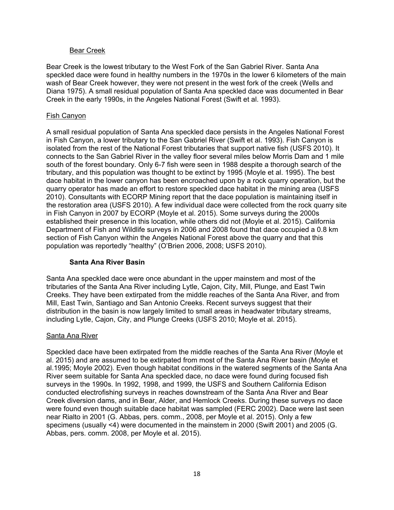### Bear Creek

Bear Creek is the lowest tributary to the West Fork of the San Gabriel River. Santa Ana speckled dace were found in healthy numbers in the 1970s in the lower 6 kilometers of the main wash of Bear Creek however, they were not present in the west fork of the creek (Wells and Diana 1975). A small residual population of Santa Ana speckled dace was documented in Bear Creek in the early 1990s, in the Angeles National Forest (Swift et al. 1993).

### Fish Canyon

A small residual population of Santa Ana speckled dace persists in the Angeles National Forest in Fish Canyon, a lower tributary to the San Gabriel River (Swift et al. 1993). Fish Canyon is isolated from the rest of the National Forest tributaries that support native fish (USFS 2010). It connects to the San Gabriel River in the valley floor several miles below Morris Dam and 1 mile south of the forest boundary. Only 6-7 fish were seen in 1988 despite a thorough search of the tributary, and this population was thought to be extinct by 1995 (Moyle et al. 1995). The best dace habitat in the lower canyon has been encroached upon by a rock quarry operation, but the quarry operator has made an effort to restore speckled dace habitat in the mining area (USFS 2010). Consultants with ECORP Mining report that the dace population is maintaining itself in the restoration area (USFS 2010). A few individual dace were collected from the rock quarry site in Fish Canyon in 2007 by ECORP (Moyle et al. 2015). Some surveys during the 2000s established their presence in this location, while others did not (Moyle et al. 2015). California Department of Fish and Wildlife surveys in 2006 and 2008 found that dace occupied a 0.8 km section of Fish Canyon within the Angeles National Forest above the quarry and that this population was reportedly "healthy" (O'Brien 2006, 2008; USFS 2010).

# **Santa Ana River Basin**

Santa Ana speckled dace were once abundant in the upper mainstem and most of the tributaries of the Santa Ana River including Lytle, Cajon, City, Mill, Plunge, and East Twin Creeks. They have been extirpated from the middle reaches of the Santa Ana River, and from Mill, East Twin, Santiago and San Antonio Creeks. Recent surveys suggest that their distribution in the basin is now largely limited to small areas in headwater tributary streams, including Lytle, Cajon, City, and Plunge Creeks (USFS 2010; Moyle et al. 2015).

# Santa Ana River

Speckled dace have been extirpated from the middle reaches of the Santa Ana River (Moyle et al. 2015) and are assumed to be extirpated from most of the Santa Ana River basin (Moyle et al.1995; Moyle 2002). Even though habitat conditions in the watered segments of the Santa Ana River seem suitable for Santa Ana speckled dace, no dace were found during focused fish surveys in the 1990s. In 1992, 1998, and 1999, the USFS and Southern California Edison conducted electrofishing surveys in reaches downstream of the Santa Ana River and Bear Creek diversion dams, and in Bear, Alder, and Hemlock Creeks. During these surveys no dace were found even though suitable dace habitat was sampled (FERC 2002). Dace were last seen near Rialto in 2001 (G. Abbas, pers. comm., 2008, per Moyle et al. 2015). Only a few specimens (usually <4) were documented in the mainstem in 2000 (Swift 2001) and 2005 (G. Abbas, pers. comm. 2008, per Moyle et al. 2015).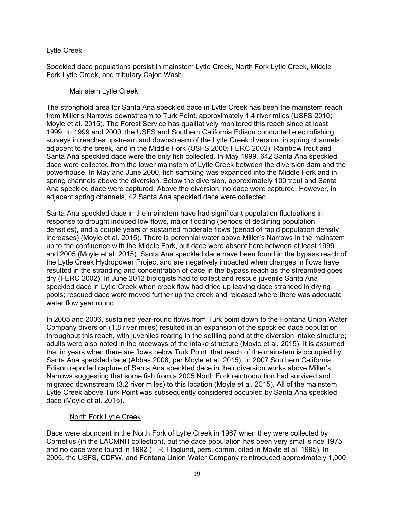# Lytle Creek

Speckled dace populations persist in mainstem Lytle Creek, North Fork Lytle Creek, Middle Fork Lytle Creek, and tributary Cajon Wash.

### Mainstem Lytle Creek

The stronghold area for Santa Ana speckled dace in Lytle Creek has been the mainstem reach from Miller's Narrows downstream to Turk Point, approximately 1.4 river miles (USFS 2010; Moyle et al. 2015). The Forest Service has qualitatively monitored this reach since at least 1999. In 1999 and 2000, the USFS and Southern California Edison conducted electrofishing surveys in reaches upstream and downstream of the Lytle Creek diversion, in spring channels adjacent to the creek, and in the Middle Fork (USFS 2000; FERC 2002). Rainbow trout and Santa Ana speckled dace were the only fish collected. In May 1999, 642 Santa Ana speckled dace were collected from the lower mainstem of Lytle Creek between the diversion dam and the powerhouse. In May and June 2000, fish sampling was expanded into the Middle Fork and in spring channels above the diversion. Below the diversion, approximately 100 trout and Santa Ana speckled dace were captured. Above the diversion, no dace were captured. However, in adjacent spring channels, 42 Santa Ana speckled dace were collected.

Santa Ana speckled dace in the mainstem have had significant population fluctuations in response to drought induced low flows, major flooding (periods of declining population densities), and a couple years of sustained moderate flows (period of rapid population density increases) (Moyle et al. 2015). There is perennial water above Miller's Narrows in the mainstem up to the confluence with the Middle Fork, but dace were absent here between at least 1999 and 2005 (Moyle et al. 2015). Santa Ana speckled dace have been found in the bypass reach of the Lytle Creek Hydropower Project and are negatively impacted when changes in flows have resulted in the stranding and concentration of dace in the bypass reach as the streambed goes dry (FERC 2002). In June 2012 biologists had to collect and rescue juvenile Santa Ana speckled dace in Lytle Creek when creek flow had dried up leaving dace stranded in drying pools; rescued dace were moved further up the creek and released where there was adequate water flow year round.

In 2005 and 2006, sustained year-round flows from Turk point down to the Fontana Union Water Company diversion (1.8 river miles) resulted in an expansion of the speckled dace population throughout this reach, with juveniles rearing in the settling pond at the diversion intake structure; adults were also noted in the raceways of the intake structure (Moyle et al. 2015). It is assumed that in years when there are flows below Turk Point, that reach of the mainstem is occupied by Santa Ana speckled dace (Abbas 2008, per Moyle et al. 2015). In 2007 Southern California Edison reported capture of Santa Ana speckled dace in their diversion works above Miller's Narrows suggesting that some fish from a 2005 North Fork reintroduction had survived and migrated downstream (3.2 river miles) to this location (Moyle et al. 2015). All of the mainstem Lytle Creek above Turk Point was subsequently considered occupied by Santa Ana speckled dace (Moyle et al. 2015).

# North Fork Lytle Creek

Dace were abundant in the North Fork of Lytle Creek in 1967 when they were collected by Cornelius (in the LACMNH collection), but the dace population has been very small since 1975, and no dace were found in 1992 (T.R. Haglund, pers. comm. cited in Moyle et al. 1995). In 2005, the USFS, CDFW, and Fontana Union Water Company reintroduced approximately 1,000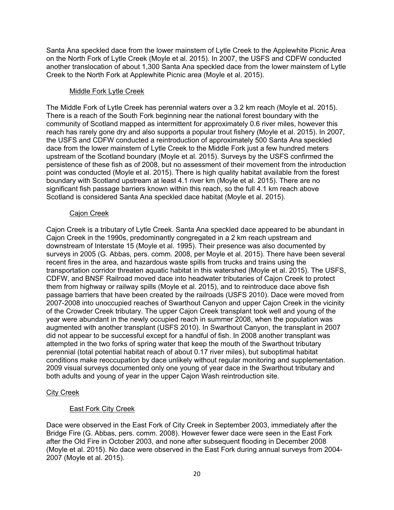Santa Ana speckled dace from the lower mainstem of Lytle Creek to the Applewhite Picnic Area on the North Fork of Lytle Creek (Moyle et al. 2015). In 2007, the USFS and CDFW conducted another translocation of about 1,300 Santa Ana speckled dace from the lower mainstem of Lytle Creek to the North Fork at Applewhite Picnic area (Moyle et al. 2015).

# Middle Fork Lytle Creek

The Middle Fork of Lytle Creek has perennial waters over a 3.2 km reach (Moyle et al. 2015). There is a reach of the South Fork beginning near the national forest boundary with the community of Scotland mapped as intermittent for approximately 0.6 river miles, however this reach has rarely gone dry and also supports a popular trout fishery (Moyle et al. 2015). In 2007, the USFS and CDFW conducted a reintroduction of approximately 500 Santa Ana speckled dace from the lower mainstem of Lytle Creek to the Middle Fork just a few hundred meters upstream of the Scotland boundary (Moyle et al. 2015). Surveys by the USFS confirmed the persistence of these fish as of 2008, but no assessment of their movement from the introduction point was conducted (Moyle et al. 2015). There is high quality habitat available from the forest boundary with Scotland upstream at least 4.1 river km (Moyle et al. 2015). There are no significant fish passage barriers known within this reach, so the full 4.1 km reach above Scotland is considered Santa Ana speckled dace habitat (Moyle et al. 2015).

# Cajon Creek

Cajon Creek is a tributary of Lytle Creek. Santa Ana speckled dace appeared to be abundant in Cajon Creek in the 1990s, predominantly congregated in a 2 km reach upstream and downstream of Interstate 15 (Moyle et al. 1995). Their presence was also documented by surveys in 2005 (G. Abbas, pers. comm. 2008, per Moyle et al. 2015). There have been several recent fires in the area, and hazardous waste spills from trucks and trains using the transportation corridor threaten aquatic habitat in this watershed (Moyle et al. 2015). The USFS, CDFW, and BNSF Railroad moved dace into headwater tributaries of Cajon Creek to protect them from highway or railway spills (Moyle et al. 2015), and to reintroduce dace above fish passage barriers that have been created by the railroads (USFS 2010). Dace were moved from 2007-2008 into unoccupied reaches of Swarthout Canyon and upper Cajon Creek in the vicinity of the Crowder Creek tributary. The upper Cajon Creek transplant took well and young of the year were abundant in the newly occupied reach in summer 2008, when the population was augmented with another transplant (USFS 2010). In Swarthout Canyon, the transplant in 2007 did not appear to be successful except for a handful of fish. In 2008 another transplant was attempted in the two forks of spring water that keep the mouth of the Swarthout tributary perennial (total potential habitat reach of about 0.17 river miles), but suboptimal habitat conditions make reoccupation by dace unlikely without regular monitoring and supplementation. 2009 visual surveys documented only one young of year dace in the Swarthout tributary and both adults and young of year in the upper Cajon Wash reintroduction site.

# City Creek

# East Fork City Creek

Dace were observed in the East Fork of City Creek in September 2003, immediately after the Bridge Fire (G. Abbas, pers. comm. 2008). However fewer dace were seen in the East Fork after the Old Fire in October 2003, and none after subsequent flooding in December 2008 (Moyle et al. 2015). No dace were observed in the East Fork during annual surveys from 2004- 2007 (Moyle et al. 2015).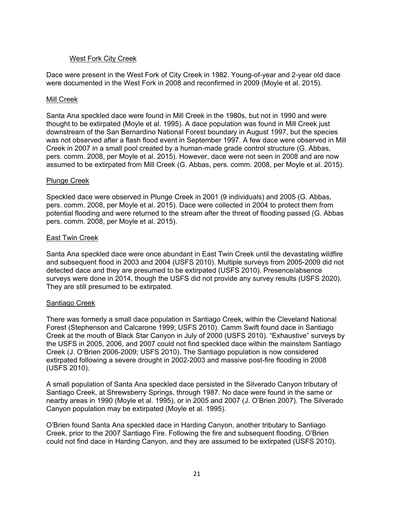# West Fork City Creek

Dace were present in the West Fork of City Creek in 1982. Young-of-year and 2-year old dace were documented in the West Fork in 2008 and reconfirmed in 2009 (Moyle et al. 2015).

### Mill Creek

Santa Ana speckled dace were found in Mill Creek in the 1980s, but not in 1990 and were thought to be extirpated (Moyle et al. 1995). A dace population was found in Mill Creek just downstream of the San Bernardino National Forest boundary in August 1997, but the species was not observed after a flash flood event in September 1997. A few dace were observed in Mill Creek in 2007 in a small pool created by a human-made grade control structure (G. Abbas, pers. comm. 2008, per Moyle et al. 2015). However, dace were not seen in 2008 and are now assumed to be extirpated from Mill Creek (G. Abbas, pers. comm. 2008, per Moyle et al. 2015).

### Plunge Creek

Speckled dace were observed in Plunge Creek in 2001 (9 individuals) and 2005 (G. Abbas, pers. comm. 2008, per Moyle et al. 2015). Dace were collected in 2004 to protect them from potential flooding and were returned to the stream after the threat of flooding passed (G. Abbas pers. comm. 2008, per Moyle et al. 2015).

### East Twin Creek

Santa Ana speckled dace were once abundant in East Twin Creek until the devastating wildfire and subsequent flood in 2003 and 2004 (USFS 2010). Multiple surveys from 2005-2009 did not detected dace and they are presumed to be extirpated (USFS 2010). Presence/absence surveys were done in 2014, though the USFS did not provide any survey results (USFS 2020). They are still presumed to be extirpated.

# Santiago Creek

There was formerly a small dace population in Santiago Creek, within the Cleveland National Forest (Stephenson and Calcarone 1999; USFS 2010). Camm Swift found dace in Santiago Creek at the mouth of Black Star Canyon in July of 2000 (USFS 2010). "Exhaustive" surveys by the USFS in 2005, 2006, and 2007 could not find speckled dace within the mainstem Santiago Creek (J. O'Brien 2006-2009; USFS 2010). The Santiago population is now considered extirpated following a severe drought in 2002-2003 and massive post-fire flooding in 2008 (USFS 2010).

A small population of Santa Ana speckled dace persisted in the Silverado Canyon tributary of Santiago Creek, at Shrewsberry Springs, through 1987. No dace were found in the same or nearby areas in 1990 (Moyle et al. 1995), or in 2005 and 2007 (J. O'Brien 2007). The Silverado Canyon population may be extirpated (Moyle et al. 1995).

O'Brien found Santa Ana speckled dace in Harding Canyon, another tributary to Santiago Creek, prior to the 2007 Santiago Fire. Following the fire and subsequent flooding, O'Brien could not find dace in Harding Canyon, and they are assumed to be extirpated (USFS 2010).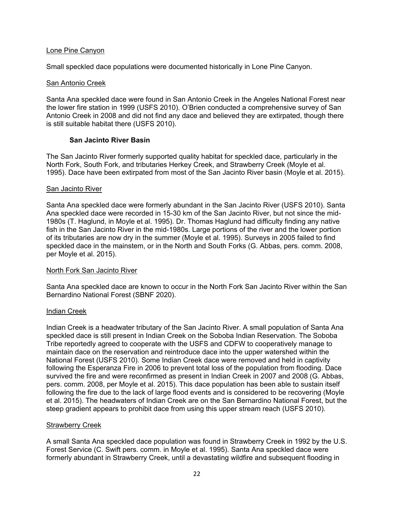### Lone Pine Canyon

Small speckled dace populations were documented historically in Lone Pine Canyon.

### San Antonio Creek

Santa Ana speckled dace were found in San Antonio Creek in the Angeles National Forest near the lower fire station in 1999 (USFS 2010). O'Brien conducted a comprehensive survey of San Antonio Creek in 2008 and did not find any dace and believed they are extirpated, though there is still suitable habitat there (USFS 2010).

### **San Jacinto River Basin**

The San Jacinto River formerly supported quality habitat for speckled dace, particularly in the North Fork, South Fork, and tributaries Herkey Creek, and Strawberry Creek (Moyle et al. 1995). Dace have been extirpated from most of the San Jacinto River basin (Moyle et al. 2015).

### San Jacinto River

Santa Ana speckled dace were formerly abundant in the San Jacinto River (USFS 2010). Santa Ana speckled dace were recorded in 15-30 km of the San Jacinto River, but not since the mid-1980s (T. Haglund, in Moyle et al. 1995). Dr. Thomas Haglund had difficulty finding any native fish in the San Jacinto River in the mid-1980s. Large portions of the river and the lower portion of its tributaries are now dry in the summer (Moyle et al. 1995). Surveys in 2005 failed to find speckled dace in the mainstem, or in the North and South Forks (G. Abbas, pers. comm. 2008, per Moyle et al. 2015).

#### North Fork San Jacinto River

Santa Ana speckled dace are known to occur in the North Fork San Jacinto River within the San Bernardino National Forest (SBNF 2020).

#### Indian Creek

Indian Creek is a headwater tributary of the San Jacinto River. A small population of Santa Ana speckled dace is still present in Indian Creek on the Soboba Indian Reservation. The Soboba Tribe reportedly agreed to cooperate with the USFS and CDFW to cooperatively manage to maintain dace on the reservation and reintroduce dace into the upper watershed within the National Forest (USFS 2010). Some Indian Creek dace were removed and held in captivity following the Esperanza Fire in 2006 to prevent total loss of the population from flooding. Dace survived the fire and were reconfirmed as present in Indian Creek in 2007 and 2008 (G. Abbas, pers. comm. 2008, per Moyle et al. 2015). This dace population has been able to sustain itself following the fire due to the lack of large flood events and is considered to be recovering (Moyle et al. 2015). The headwaters of Indian Creek are on the San Bernardino National Forest, but the steep gradient appears to prohibit dace from using this upper stream reach (USFS 2010).

#### Strawberry Creek

A small Santa Ana speckled dace population was found in Strawberry Creek in 1992 by the U.S. Forest Service (C. Swift pers. comm. in Moyle et al. 1995). Santa Ana speckled dace were formerly abundant in Strawberry Creek, until a devastating wildfire and subsequent flooding in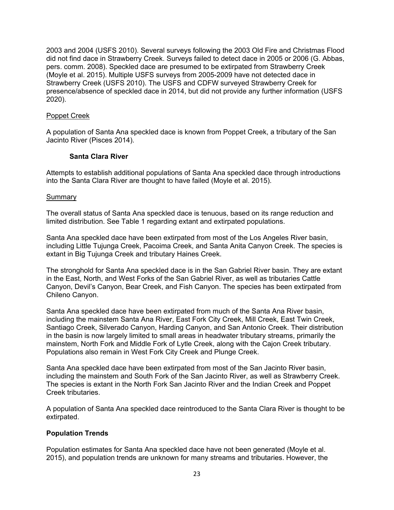2003 and 2004 (USFS 2010). Several surveys following the 2003 Old Fire and Christmas Flood did not find dace in Strawberry Creek. Surveys failed to detect dace in 2005 or 2006 (G. Abbas, pers. comm. 2008). Speckled dace are presumed to be extirpated from Strawberry Creek (Moyle et al. 2015). Multiple USFS surveys from 2005-2009 have not detected dace in Strawberry Creek (USFS 2010). The USFS and CDFW surveyed Strawberry Creek for presence/absence of speckled dace in 2014, but did not provide any further information (USFS 2020).

### Poppet Creek

A population of Santa Ana speckled dace is known from Poppet Creek, a tributary of the San Jacinto River (Pisces 2014).

### **Santa Clara River**

Attempts to establish additional populations of Santa Ana speckled dace through introductions into the Santa Clara River are thought to have failed (Moyle et al. 2015).

#### Summary

The overall status of Santa Ana speckled dace is tenuous, based on its range reduction and limited distribution. See Table 1 regarding extant and extirpated populations.

Santa Ana speckled dace have been extirpated from most of the Los Angeles River basin, including Little Tujunga Creek, Pacoima Creek, and Santa Anita Canyon Creek. The species is extant in Big Tujunga Creek and tributary Haines Creek.

The stronghold for Santa Ana speckled dace is in the San Gabriel River basin. They are extant in the East, North, and West Forks of the San Gabriel River, as well as tributaries Cattle Canyon, Devil's Canyon, Bear Creek, and Fish Canyon. The species has been extirpated from Chileno Canyon.

Santa Ana speckled dace have been extirpated from much of the Santa Ana River basin, including the mainstem Santa Ana River, East Fork City Creek, Mill Creek, East Twin Creek, Santiago Creek, Silverado Canyon, Harding Canyon, and San Antonio Creek. Their distribution in the basin is now largely limited to small areas in headwater tributary streams, primarily the mainstem, North Fork and Middle Fork of Lytle Creek, along with the Cajon Creek tributary. Populations also remain in West Fork City Creek and Plunge Creek.

Santa Ana speckled dace have been extirpated from most of the San Jacinto River basin, including the mainstem and South Fork of the San Jacinto River, as well as Strawberry Creek. The species is extant in the North Fork San Jacinto River and the Indian Creek and Poppet Creek tributaries.

A population of Santa Ana speckled dace reintroduced to the Santa Clara River is thought to be extirpated.

# **Population Trends**

Population estimates for Santa Ana speckled dace have not been generated (Moyle et al. 2015), and population trends are unknown for many streams and tributaries. However, the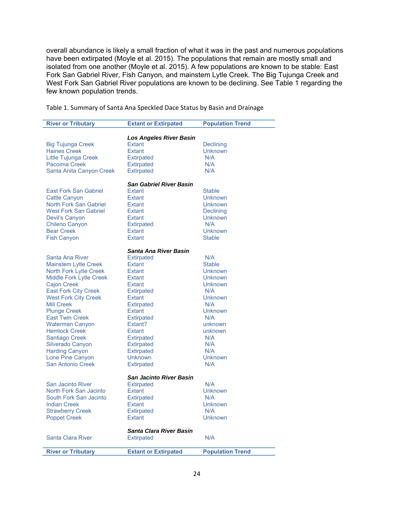overall abundance is likely a small fraction of what it was in the past and numerous populations have been extirpated (Moyle et al. 2015). The populations that remain are mostly small and isolated from one another (Moyle et al. 2015). A few populations are known to be stable: East Fork San Gabriel River, Fish Canyon, and mainstem Lytle Creek. The Big Tujunga Creek and West Fork San Gabriel River populations are known to be declining. See Table 1 regarding the few known population trends.

Table 1. Summary of Santa Ana Speckled Dace Status by Basin and Drainage

| <b>River or Tributary</b>                    | <b>Extant or Extirpated</b>         | <b>Population Trend</b> |  |
|----------------------------------------------|-------------------------------------|-------------------------|--|
|                                              |                                     |                         |  |
|                                              | <b>Los Angeles River Basin</b>      |                         |  |
| <b>Big Tujunga Creek</b>                     | <b>Extant</b>                       | Declining               |  |
| <b>Haines Creek</b>                          | <b>Extant</b>                       | <b>Unknown</b>          |  |
| Little Tujunga Creek                         | <b>Extirpated</b>                   | N/A                     |  |
| <b>Pacoima Creek</b>                         | <b>Extirpated</b>                   | N/A                     |  |
| Santa Anita Canyon Creek                     | <b>Extirpated</b>                   | N/A                     |  |
| <b>San Gabriel River Basin</b>               |                                     |                         |  |
| <b>East Fork San Gabriel</b>                 | Extant                              | <b>Stable</b>           |  |
| <b>Cattle Canyon</b>                         | Extant                              | Unknown                 |  |
| <b>North Fork San Gabriel</b>                | Extant                              | <b>Unknown</b>          |  |
| <b>West Fork San Gabriel</b>                 | <b>Extant</b>                       | Declining               |  |
|                                              |                                     |                         |  |
| Devil's Canyon                               | <b>Extant</b>                       | <b>Unknown</b>          |  |
| Chileno Canyon                               | <b>Extirpated</b>                   | N/A                     |  |
| <b>Bear Creek</b>                            | <b>Extant</b>                       | <b>Unknown</b>          |  |
| <b>Fish Canyon</b>                           | <b>Extant</b>                       | <b>Stable</b>           |  |
| Santa Ana River Basin                        |                                     |                         |  |
| Santa Ana River                              | <b>Extirpated</b>                   | N/A                     |  |
| <b>Mainstem Lytle Creek</b>                  | <b>Extant</b>                       | <b>Stable</b>           |  |
| North Fork Lytle Creek                       | Extant                              | <b>Unknown</b>          |  |
| <b>Middle Fork Lytle Creek</b>               | Extant                              | Unknown                 |  |
| <b>Cajon Creek</b>                           | <b>Extant</b>                       | <b>Unknown</b>          |  |
| <b>East Fork City Creek</b>                  | <b>Extirpated</b>                   | N/A                     |  |
| <b>West Fork City Creek</b>                  | Extant                              | <b>Unknown</b>          |  |
| <b>Mill Creek</b>                            | <b>Extirpated</b>                   | N/A                     |  |
| <b>Plunge Creek</b>                          | Extant                              | Unknown                 |  |
| <b>East Twin Creek</b>                       | <b>Extirpated</b>                   | N/A                     |  |
| Waterman Canyon                              | Extant?                             | unknown                 |  |
| <b>Hemlock Creek</b>                         | <b>Extant</b>                       | unknown                 |  |
| Santiago Creek                               | <b>Extirpated</b>                   | N/A                     |  |
| Silverado Canyon                             | <b>Extirpated</b>                   | N/A                     |  |
|                                              |                                     | N/A                     |  |
| <b>Harding Canyon</b>                        | <b>Extirpated</b><br><b>Unknown</b> | <b>Unknown</b>          |  |
| Lone Pine Canyon<br><b>San Antonio Creek</b> |                                     |                         |  |
|                                              | <b>Extirpated</b>                   | N/A                     |  |
| San Jacinto River Basin                      |                                     |                         |  |
| San Jacinto River                            | <b>Extirpated</b>                   | N/A                     |  |
| North Fork San Jacinto                       | <b>Extant</b>                       | Unknown                 |  |
| South Fork San Jacinto                       | <b>Extirpated</b>                   | N/A                     |  |
| <b>Indian Creek</b>                          | Extant                              | <b>Unknown</b>          |  |
| <b>Strawberry Creek</b>                      | <b>Extirpated</b>                   | N/A                     |  |
| <b>Poppet Creek</b>                          | Extant                              | <b>Unknown</b>          |  |
|                                              | <b>Santa Clara River Basin</b>      |                         |  |
| <b>Santa Clara River</b>                     | <b>Extirpated</b>                   | N/A                     |  |
|                                              |                                     |                         |  |
| <b>River or Tributary</b>                    | <b>Extant or Extirpated</b>         | <b>Population Trend</b> |  |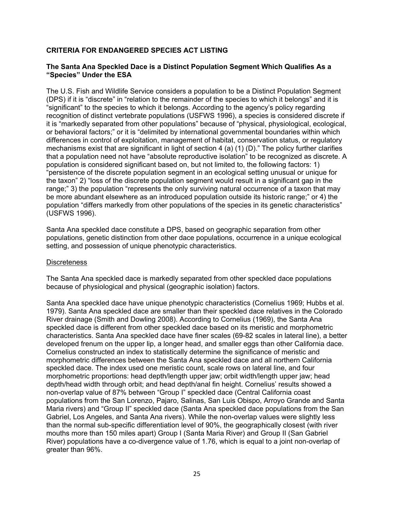# **CRITERIA FOR ENDANGERED SPECIES ACT LISTING**

### **The Santa Ana Speckled Dace is a Distinct Population Segment Which Qualifies As a "Species" Under the ESA**

The U.S. Fish and Wildlife Service considers a population to be a Distinct Population Segment (DPS) if it is "discrete" in "relation to the remainder of the species to which it belongs" and it is "significant" to the species to which it belongs. According to the agency's policy regarding recognition of distinct vertebrate populations (USFWS 1996), a species is considered discrete if it is "markedly separated from other populations" because of "physical, physiological, ecological, or behavioral factors;" or it is "delimited by international governmental boundaries within which differences in control of exploitation, management of habitat, conservation status, or regulatory mechanisms exist that are significant in light of section 4 (a) (1) (D)." The policy further clarifies that a population need not have "absolute reproductive isolation" to be recognized as discrete. A population is considered significant based on, but not limited to, the following factors: 1) "persistence of the discrete population segment in an ecological setting unusual or unique for the taxon" 2) "loss of the discrete population segment would result in a significant gap in the range;" 3) the population "represents the only surviving natural occurrence of a taxon that may be more abundant elsewhere as an introduced population outside its historic range;" or 4) the population "differs markedly from other populations of the species in its genetic characteristics" (USFWS 1996).

Santa Ana speckled dace constitute a DPS, based on geographic separation from other populations, genetic distinction from other dace populations, occurrence in a unique ecological setting, and possession of unique phenotypic characteristics.

### **Discreteness**

The Santa Ana speckled dace is markedly separated from other speckled dace populations because of physiological and physical (geographic isolation) factors.

Santa Ana speckled dace have unique phenotypic characteristics (Cornelius 1969; Hubbs et al. 1979). Santa Ana speckled dace are smaller than their speckled dace relatives in the Colorado River drainage (Smith and Dowling 2008). According to Cornelius (1969), the Santa Ana speckled dace is different from other speckled dace based on its meristic and morphometric characteristics. Santa Ana speckled dace have finer scales (69-82 scales in lateral line), a better developed frenum on the upper lip, a longer head, and smaller eggs than other California dace. Cornelius constructed an index to statistically determine the significance of meristic and morphometric differences between the Santa Ana speckled dace and all northern California speckled dace. The index used one meristic count, scale rows on lateral line, and four morphometric proportions: head depth/length upper jaw; orbit width/length upper jaw; head depth/head width through orbit; and head depth/anal fin height. Cornelius' results showed a non-overlap value of 87% between "Group I" speckled dace (Central California coast populations from the San Lorenzo, Pajaro, Salinas, San Luis Obispo, Arroyo Grande and Santa Maria rivers) and "Group II" speckled dace (Santa Ana speckled dace populations from the San Gabriel, Los Angeles, and Santa Ana rivers). While the non-overlap values were slightly less than the normal sub-specific differentiation level of 90%, the geographically closest (with river mouths more than 150 miles apart) Group I (Santa Maria River) and Group II (San Gabriel River) populations have a co-divergence value of 1.76, which is equal to a joint non-overlap of greater than 96%.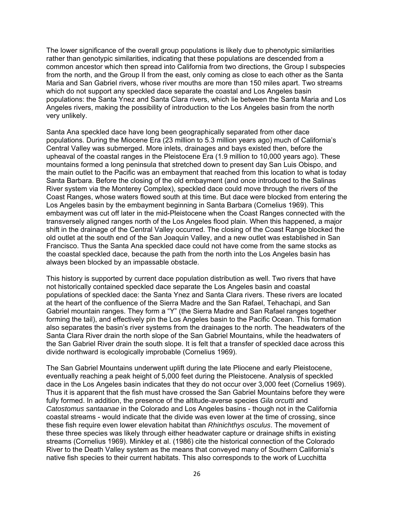The lower significance of the overall group populations is likely due to phenotypic similarities rather than genotypic similarities, indicating that these populations are descended from a common ancestor which then spread into California from two directions, the Group I subspecies from the north, and the Group II from the east, only coming as close to each other as the Santa Maria and San Gabriel rivers, whose river mouths are more than 150 miles apart. Two streams which do not support any speckled dace separate the coastal and Los Angeles basin populations: the Santa Ynez and Santa Clara rivers, which lie between the Santa Maria and Los Angeles rivers, making the possibility of introduction to the Los Angeles basin from the north very unlikely.

Santa Ana speckled dace have long been geographically separated from other dace populations. During the Miocene Era (23 million to 5.3 million years ago) much of California's Central Valley was submerged. More inlets, drainages and bays existed then, before the upheaval of the coastal ranges in the Pleistocene Era (1.9 million to 10,000 years ago). These mountains formed a long peninsula that stretched down to present day San Luis Obispo, and the main outlet to the Pacific was an embayment that reached from this location to what is today Santa Barbara. Before the closing of the old embayment (and once introduced to the Salinas River system via the Monterey Complex), speckled dace could move through the rivers of the Coast Ranges, whose waters flowed south at this time. But dace were blocked from entering the Los Angeles basin by the embayment beginning in Santa Barbara (Cornelius 1969). This embayment was cut off later in the mid-Pleistocene when the Coast Ranges connected with the transversely aligned ranges north of the Los Angeles flood plain. When this happened, a major shift in the drainage of the Central Valley occurred. The closing of the Coast Range blocked the old outlet at the south end of the San Joaquin Valley, and a new outlet was established in San Francisco. Thus the Santa Ana speckled dace could not have come from the same stocks as the coastal speckled dace, because the path from the north into the Los Angeles basin has always been blocked by an impassable obstacle.

This history is supported by current dace population distribution as well. Two rivers that have not historically contained speckled dace separate the Los Angeles basin and coastal populations of speckled dace: the Santa Ynez and Santa Clara rivers. These rivers are located at the heart of the confluence of the Sierra Madre and the San Rafael, Tehachapi, and San Gabriel mountain ranges. They form a "Y" (the Sierra Madre and San Rafael ranges together forming the tail), and effectively pin the Los Angeles basin to the Pacific Ocean. This formation also separates the basin's river systems from the drainages to the north. The headwaters of the Santa Clara River drain the north slope of the San Gabriel Mountains, while the headwaters of the San Gabriel River drain the south slope. It is felt that a transfer of speckled dace across this divide northward is ecologically improbable (Cornelius 1969).

The San Gabriel Mountains underwent uplift during the late Pliocene and early Pleistocene, eventually reaching a peak height of 5,000 feet during the Pleistocene. Analysis of speckled dace in the Los Angeles basin indicates that they do not occur over 3,000 feet (Cornelius 1969). Thus it is apparent that the fish must have crossed the San Gabriel Mountains before they were fully formed. In addition, the presence of the altitude-averse species *Gila orcutti* and *Catostomus santaanae* in the Colorado and Los Angeles basins - though not in the California coastal streams - would indicate that the divide was even lower at the time of crossing, since these fish require even lower elevation habitat than *Rhinichthys osculus*. The movement of these three species was likely through either headwater capture or drainage shifts in existing streams (Cornelius 1969). Minkley et al. (1986) cite the historical connection of the Colorado River to the Death Valley system as the means that conveyed many of Southern California's native fish species to their current habitats. This also corresponds to the work of Lucchitta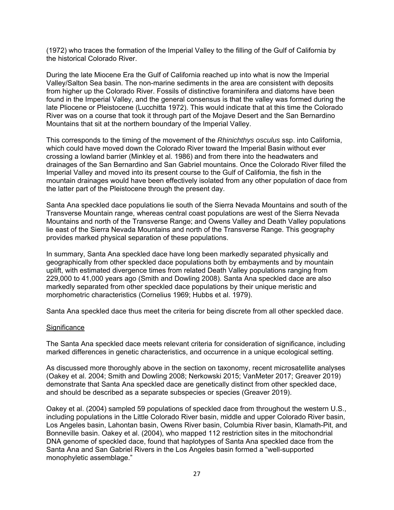(1972) who traces the formation of the Imperial Valley to the filling of the Gulf of California by the historical Colorado River.

During the late Miocene Era the Gulf of California reached up into what is now the Imperial Valley/Salton Sea basin. The non-marine sediments in the area are consistent with deposits from higher up the Colorado River. Fossils of distinctive foraminifera and diatoms have been found in the Imperial Valley, and the general consensus is that the valley was formed during the late Pliocene or Pleistocene (Lucchitta 1972). This would indicate that at this time the Colorado River was on a course that took it through part of the Mojave Desert and the San Bernardino Mountains that sit at the northern boundary of the Imperial Valley.

This corresponds to the timing of the movement of the *Rhinichthys osculus* ssp. into California, which could have moved down the Colorado River toward the Imperial Basin without ever crossing a lowland barrier (Minkley et al. 1986) and from there into the headwaters and drainages of the San Bernardino and San Gabriel mountains. Once the Colorado River filled the Imperial Valley and moved into its present course to the Gulf of California, the fish in the mountain drainages would have been effectively isolated from any other population of dace from the latter part of the Pleistocene through the present day.

Santa Ana speckled dace populations lie south of the Sierra Nevada Mountains and south of the Transverse Mountain range, whereas central coast populations are west of the Sierra Nevada Mountains and north of the Transverse Range; and Owens Valley and Death Valley populations lie east of the Sierra Nevada Mountains and north of the Transverse Range. This geography provides marked physical separation of these populations.

In summary, Santa Ana speckled dace have long been markedly separated physically and geographically from other speckled dace populations both by embayments and by mountain uplift, with estimated divergence times from related Death Valley populations ranging from 229,000 to 41,000 years ago (Smith and Dowling 2008). Santa Ana speckled dace are also markedly separated from other speckled dace populations by their unique meristic and morphometric characteristics (Cornelius 1969; Hubbs et al. 1979).

Santa Ana speckled dace thus meet the criteria for being discrete from all other speckled dace.

#### **Significance**

The Santa Ana speckled dace meets relevant criteria for consideration of significance, including marked differences in genetic characteristics, and occurrence in a unique ecological setting.

As discussed more thoroughly above in the section on taxonomy, recent microsatellite analyses (Oakey et al. 2004; Smith and Dowling 2008; Nerkowski 2015; VanMeter 2017; Greaver 2019) demonstrate that Santa Ana speckled dace are genetically distinct from other speckled dace, and should be described as a separate subspecies or species (Greaver 2019).

Oakey et al. (2004) sampled 59 populations of speckled dace from throughout the western U.S., including populations in the Little Colorado River basin, middle and upper Colorado River basin, Los Angeles basin, Lahontan basin, Owens River basin, Columbia River basin, Klamath-Pit, and Bonneville basin. Oakey et al. (2004), who mapped 112 restriction sites in the mitochondrial DNA genome of speckled dace, found that haplotypes of Santa Ana speckled dace from the Santa Ana and San Gabriel Rivers in the Los Angeles basin formed a "well-supported monophyletic assemblage."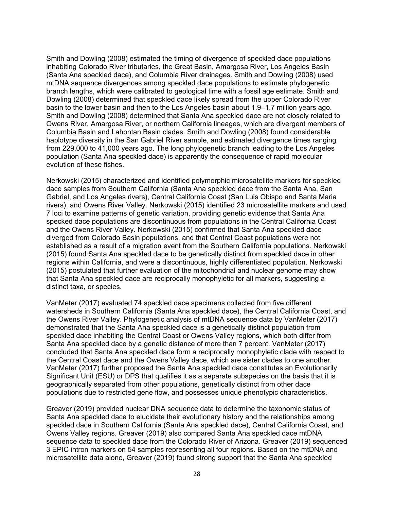Smith and Dowling (2008) estimated the timing of divergence of speckled dace populations inhabiting Colorado River tributaries, the Great Basin, Amargosa River, Los Angeles Basin (Santa Ana speckled dace), and Columbia River drainages. Smith and Dowling (2008) used mtDNA sequence divergences among speckled dace populations to estimate phylogenetic branch lengths, which were calibrated to geological time with a fossil age estimate. Smith and Dowling (2008) determined that speckled dace likely spread from the upper Colorado River basin to the lower basin and then to the Los Angeles basin about 1.9–1.7 million years ago. Smith and Dowling (2008) determined that Santa Ana speckled dace are not closely related to Owens River, Amargosa River, or northern California lineages, which are divergent members of Columbia Basin and Lahontan Basin clades. Smith and Dowling (2008) found considerable haplotype diversity in the San Gabriel River sample, and estimated divergence times ranging from 229,000 to 41,000 years ago. The long phylogenetic branch leading to the Los Angeles population (Santa Ana speckled dace) is apparently the consequence of rapid molecular evolution of these fishes.

Nerkowski (2015) characterized and identified polymorphic microsatellite markers for speckled dace samples from Southern California (Santa Ana speckled dace from the Santa Ana, San Gabriel, and Los Angeles rivers), Central California Coast (San Luis Obispo and Santa Maria rivers), and Owens River Valley. Nerkowski (2015) identified 23 microsatellite markers and used 7 loci to examine patterns of genetic variation, providing genetic evidence that Santa Ana specked dace populations are discontinuous from populations in the Central California Coast and the Owens River Valley. Nerkowski (2015) confirmed that Santa Ana speckled dace diverged from Colorado Basin populations, and that Central Coast populations were not established as a result of a migration event from the Southern California populations. Nerkowski (2015) found Santa Ana speckled dace to be genetically distinct from speckled dace in other regions within California, and were a discontinuous, highly differentiated population. Nerkowski (2015) postulated that further evaluation of the mitochondrial and nuclear genome may show that Santa Ana speckled dace are reciprocally monophyletic for all markers, suggesting a distinct taxa, or species.

VanMeter (2017) evaluated 74 speckled dace specimens collected from five different watersheds in Southern California (Santa Ana speckled dace), the Central California Coast, and the Owens River Valley. Phylogenetic analysis of mtDNA sequence data by VanMeter (2017) demonstrated that the Santa Ana speckled dace is a genetically distinct population from speckled dace inhabiting the Central Coast or Owens Valley regions, which both differ from Santa Ana speckled dace by a genetic distance of more than 7 percent. VanMeter (2017) concluded that Santa Ana speckled dace form a reciprocally monophyletic clade with respect to the Central Coast dace and the Owens Valley dace, which are sister clades to one another. VanMeter (2017) further proposed the Santa Ana speckled dace constitutes an Evolutionarily Significant Unit (ESU) or DPS that qualifies it as a separate subspecies on the basis that it is geographically separated from other populations, genetically distinct from other dace populations due to restricted gene flow, and possesses unique phenotypic characteristics.

Greaver (2019) provided nuclear DNA sequence data to determine the taxonomic status of Santa Ana speckled dace to elucidate their evolutionary history and the relationships among speckled dace in Southern California (Santa Ana speckled dace), Central California Coast, and Owens Valley regions. Greaver (2019) also compared Santa Ana speckled dace mtDNA sequence data to speckled dace from the Colorado River of Arizona. Greaver (2019) sequenced 3 EPIC intron markers on 54 samples representing all four regions. Based on the mtDNA and microsatellite data alone, Greaver (2019) found strong support that the Santa Ana speckled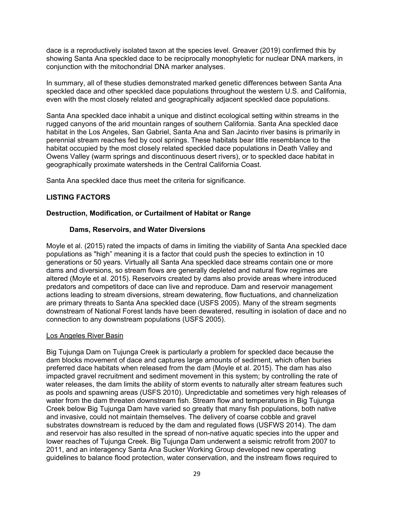dace is a reproductively isolated taxon at the species level. Greaver (2019) confirmed this by showing Santa Ana speckled dace to be reciprocally monophyletic for nuclear DNA markers, in conjunction with the mitochondrial DNA marker analyses.

In summary, all of these studies demonstrated marked genetic differences between Santa Ana speckled dace and other speckled dace populations throughout the western U.S. and California, even with the most closely related and geographically adjacent speckled dace populations.

Santa Ana speckled dace inhabit a unique and distinct ecological setting within streams in the rugged canyons of the arid mountain ranges of southern California. Santa Ana speckled dace habitat in the Los Angeles, San Gabriel, Santa Ana and San Jacinto river basins is primarily in perennial stream reaches fed by cool springs. These habitats bear little resemblance to the habitat occupied by the most closely related speckled dace populations in Death Valley and Owens Valley (warm springs and discontinuous desert rivers), or to speckled dace habitat in geographically proximate watersheds in the Central California Coast.

Santa Ana speckled dace thus meet the criteria for significance.

# **LISTING FACTORS**

# **Destruction, Modification, or Curtailment of Habitat or Range**

### **Dams, Reservoirs, and Water Diversions**

Moyle et al. (2015) rated the impacts of dams in limiting the viability of Santa Ana speckled dace populations as "high" meaning it is a factor that could push the species to extinction in 10 generations or 50 years. Virtually all Santa Ana speckled dace streams contain one or more dams and diversions, so stream flows are generally depleted and natural flow regimes are altered (Moyle et al. 2015). Reservoirs created by dams also provide areas where introduced predators and competitors of dace can live and reproduce. Dam and reservoir management actions leading to stream diversions, stream dewatering, flow fluctuations, and channelization are primary threats to Santa Ana speckled dace (USFS 2005). Many of the stream segments downstream of National Forest lands have been dewatered, resulting in isolation of dace and no connection to any downstream populations (USFS 2005).

#### Los Angeles River Basin

Big Tujunga Dam on Tujunga Creek is particularly a problem for speckled dace because the dam blocks movement of dace and captures large amounts of sediment, which often buries preferred dace habitats when released from the dam (Moyle et al. 2015). The dam has also impacted gravel recruitment and sediment movement in this system; by controlling the rate of water releases, the dam limits the ability of storm events to naturally alter stream features such as pools and spawning areas (USFS 2010). Unpredictable and sometimes very high releases of water from the dam threaten downstream fish. Stream flow and temperatures in Big Tujunga Creek below Big Tujunga Dam have varied so greatly that many fish populations, both native and invasive, could not maintain themselves. The delivery of coarse cobble and gravel substrates downstream is reduced by the dam and regulated flows (USFWS 2014). The dam and reservoir has also resulted in the spread of non-native aquatic species into the upper and lower reaches of Tujunga Creek. Big Tujunga Dam underwent a seismic retrofit from 2007 to 2011, and an interagency Santa Ana Sucker Working Group developed new operating guidelines to balance flood protection, water conservation, and the instream flows required to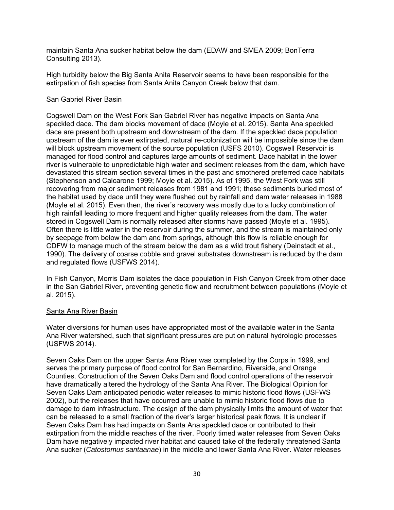maintain Santa Ana sucker habitat below the dam (EDAW and SMEA 2009; BonTerra Consulting 2013).

High turbidity below the Big Santa Anita Reservoir seems to have been responsible for the extirpation of fish species from Santa Anita Canyon Creek below that dam.

### San Gabriel River Basin

Cogswell Dam on the West Fork San Gabriel River has negative impacts on Santa Ana speckled dace. The dam blocks movement of dace (Moyle et al. 2015). Santa Ana speckled dace are present both upstream and downstream of the dam. If the speckled dace population upstream of the dam is ever extirpated, natural re-colonization will be impossible since the dam will block upstream movement of the source population (USFS 2010). Cogswell Reservoir is managed for flood control and captures large amounts of sediment. Dace habitat in the lower river is vulnerable to unpredictable high water and sediment releases from the dam, which have devastated this stream section several times in the past and smothered preferred dace habitats (Stephenson and Calcarone 1999; Moyle et al. 2015). As of 1995, the West Fork was still recovering from major sediment releases from 1981 and 1991; these sediments buried most of the habitat used by dace until they were flushed out by rainfall and dam water releases in 1988 (Moyle et al. 2015). Even then, the river's recovery was mostly due to a lucky combination of high rainfall leading to more frequent and higher quality releases from the dam. The water stored in Cogswell Dam is normally released after storms have passed (Moyle et al. 1995). Often there is little water in the reservoir during the summer, and the stream is maintained only by seepage from below the dam and from springs, although this flow is reliable enough for CDFW to manage much of the stream below the dam as a wild trout fishery (Deinstadt et al., 1990). The delivery of coarse cobble and gravel substrates downstream is reduced by the dam and regulated flows (USFWS 2014).

In Fish Canyon, Morris Dam isolates the dace population in Fish Canyon Creek from other dace in the San Gabriel River, preventing genetic flow and recruitment between populations (Moyle et al. 2015).

# Santa Ana River Basin

Water diversions for human uses have appropriated most of the available water in the Santa Ana River watershed, such that significant pressures are put on natural hydrologic processes (USFWS 2014).

Seven Oaks Dam on the upper Santa Ana River was completed by the Corps in 1999, and serves the primary purpose of flood control for San Bernardino, Riverside, and Orange Counties. Construction of the Seven Oaks Dam and flood control operations of the reservoir have dramatically altered the hydrology of the Santa Ana River. The Biological Opinion for Seven Oaks Dam anticipated periodic water releases to mimic historic flood flows (USFWS 2002), but the releases that have occurred are unable to mimic historic flood flows due to damage to dam infrastructure. The design of the dam physically limits the amount of water that can be released to a small fraction of the river's larger historical peak flows. It is unclear if Seven Oaks Dam has had impacts on Santa Ana speckled dace or contributed to their extirpation from the middle reaches of the river. Poorly timed water releases from Seven Oaks Dam have negatively impacted river habitat and caused take of the federally threatened Santa Ana sucker (*Catostomus santaanae*) in the middle and lower Santa Ana River. Water releases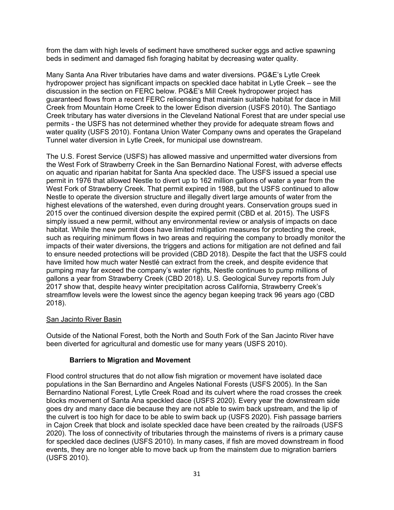from the dam with high levels of sediment have smothered sucker eggs and active spawning beds in sediment and damaged fish foraging habitat by decreasing water quality.

Many Santa Ana River tributaries have dams and water diversions. PG&E's Lytle Creek hydropower project has significant impacts on speckled dace habitat in Lytle Creek – see the discussion in the section on FERC below. PG&E's Mill Creek hydropower project has guaranteed flows from a recent FERC relicensing that maintain suitable habitat for dace in Mill Creek from Mountain Home Creek to the lower Edison diversion (USFS 2010). The Santiago Creek tributary has water diversions in the Cleveland National Forest that are under special use permits - the USFS has not determined whether they provide for adequate stream flows and water quality (USFS 2010). Fontana Union Water Company owns and operates the Grapeland Tunnel water diversion in Lytle Creek, for municipal use downstream.

The U.S. Forest Service (USFS) has allowed massive and unpermitted water diversions from the West Fork of Strawberry Creek in the San Bernardino National Forest, with adverse effects on aquatic and riparian habitat for Santa Ana speckled dace. The USFS issued a special use permit in 1976 that allowed Nestle to divert up to 162 million gallons of water a year from the West Fork of Strawberry Creek. That permit expired in 1988, but the USFS continued to allow Nestle to operate the diversion structure and illegally divert large amounts of water from the highest elevations of the watershed, even during drought years. Conservation groups sued in 2015 over the continued diversion despite the expired permit (CBD et al. 2015). The USFS simply issued a new permit, without any environmental review or analysis of impacts on dace habitat. While the new permit does have limited mitigation measures for protecting the creek, such as requiring minimum flows in two areas and requiring the company to broadly monitor the impacts of their water diversions, the triggers and actions for mitigation are not defined and fail to ensure needed protections will be provided (CBD 2018). Despite the fact that the USFS could have limited how much water Nestlé can extract from the creek, and despite evidence that pumping may far exceed the company's water rights, Nestle continues to pump millions of gallons a year from Strawberry Creek (CBD 2018). U.S. Geological Survey reports from July 2017 show that, despite heavy winter precipitation across California, Strawberry Creek's streamflow levels were the lowest since the agency began keeping track 96 years ago (CBD 2018).

#### San Jacinto River Basin

Outside of the National Forest, both the North and South Fork of the San Jacinto River have been diverted for agricultural and domestic use for many years (USFS 2010).

#### **Barriers to Migration and Movement**

Flood control structures that do not allow fish migration or movement have isolated dace populations in the San Bernardino and Angeles National Forests (USFS 2005). In the San Bernardino National Forest, Lytle Creek Road and its culvert where the road crosses the creek blocks movement of Santa Ana speckled dace (USFS 2020). Every year the downstream side goes dry and many dace die because they are not able to swim back upstream, and the lip of the culvert is too high for dace to be able to swim back up (USFS 2020). Fish passage barriers in Cajon Creek that block and isolate speckled dace have been created by the railroads (USFS 2020). The loss of connectivity of tributaries through the mainstems of rivers is a primary cause for speckled dace declines (USFS 2010). In many cases, if fish are moved downstream in flood events, they are no longer able to move back up from the mainstem due to migration barriers (USFS 2010).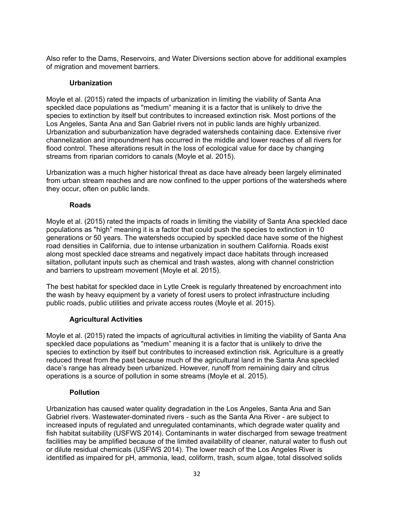Also refer to the Dams, Reservoirs, and Water Diversions section above for additional examples of migration and movement barriers.

### **Urbanization**

Moyle et al. (2015) rated the impacts of urbanization in limiting the viability of Santa Ana speckled dace populations as "medium" meaning it is a factor that is unlikely to drive the species to extinction by itself but contributes to increased extinction risk. Most portions of the Los Angeles, Santa Ana and San Gabriel rivers not in public lands are highly urbanized. Urbanization and suburbanization have degraded watersheds containing dace. Extensive river channelization and impoundment has occurred in the middle and lower reaches of all rivers for flood control. These alterations result in the loss of ecological value for dace by changing streams from riparian corridors to canals (Moyle et al. 2015).

Urbanization was a much higher historical threat as dace have already been largely eliminated from urban stream reaches and are now confined to the upper portions of the watersheds where they occur, often on public lands.

# **Roads**

Moyle et al. (2015) rated the impacts of roads in limiting the viability of Santa Ana speckled dace populations as "high" meaning it is a factor that could push the species to extinction in 10 generations or 50 years. The watersheds occupied by speckled dace have some of the highest road densities in California, due to intense urbanization in southern California. Roads exist along most speckled dace streams and negatively impact dace habitats through increased siltation, pollutant inputs such as chemical and trash wastes, along with channel constriction and barriers to upstream movement (Moyle et al. 2015).

The best habitat for speckled dace in Lytle Creek is regularly threatened by encroachment into the wash by heavy equipment by a variety of forest users to protect infrastructure including public roads, public utilities and private access routes (Moyle et al. 2015).

# **Agricultural Activities**

Moyle et al. (2015) rated the impacts of agricultural activities in limiting the viability of Santa Ana speckled dace populations as "medium" meaning it is a factor that is unlikely to drive the species to extinction by itself but contributes to increased extinction risk. Agriculture is a greatly reduced threat from the past because much of the agricultural land in the Santa Ana speckled dace's range has already been urbanized. However, runoff from remaining dairy and citrus operations is a source of pollution in some streams (Moyle et al. 2015).

# **Pollution**

Urbanization has caused water quality degradation in the Los Angeles, Santa Ana and San Gabriel rivers. Wastewater-dominated rivers - such as the Santa Ana River - are subject to increased inputs of regulated and unregulated contaminants, which degrade water quality and fish habitat suitability (USFWS 2014). Contaminants in water discharged from sewage treatment facilities may be amplified because of the limited availability of cleaner, natural water to flush out or dilute residual chemicals (USFWS 2014). The lower reach of the Los Angeles River is identified as impaired for pH, ammonia, lead, coliform, trash, scum algae, total dissolved solids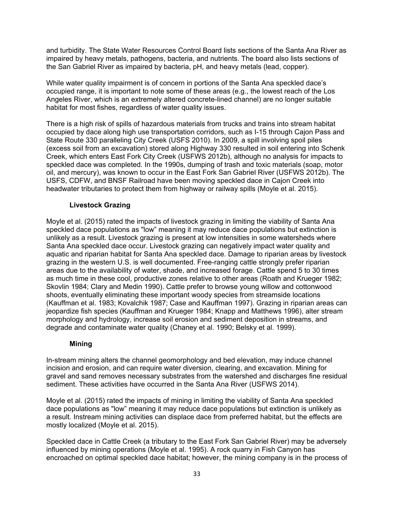and turbidity. The State Water Resources Control Board lists sections of the Santa Ana River as impaired by heavy metals, pathogens, bacteria, and nutrients. The board also lists sections of the San Gabriel River as impaired by bacteria, pH, and heavy metals (lead, copper).

While water quality impairment is of concern in portions of the Santa Ana speckled dace's occupied range, it is important to note some of these areas (e.g., the lowest reach of the Los Angeles River, which is an extremely altered concrete-lined channel) are no longer suitable habitat for most fishes, regardless of water quality issues.

There is a high risk of spills of hazardous materials from trucks and trains into stream habitat occupied by dace along high use transportation corridors, such as I-15 through Cajon Pass and State Route 330 paralleling City Creek (USFS 2010). In 2009, a spill involving spoil piles (excess soil from an excavation) stored along Highway 330 resulted in soil entering into Schenk Creek, which enters East Fork City Creek (USFWS 2012b), although no analysis for impacts to speckled dace was completed. In the 1990s, dumping of trash and toxic materials (soap, motor oil, and mercury), was known to occur in the East Fork San Gabriel River (USFWS 2012b). The USFS, CDFW, and BNSF Railroad have been moving speckled dace in Cajon Creek into headwater tributaries to protect them from highway or railway spills (Moyle et al. 2015).

# **Livestock Grazing**

Moyle et al. (2015) rated the impacts of livestock grazing in limiting the viability of Santa Ana speckled dace populations as "low" meaning it may reduce dace populations but extinction is unlikely as a result. Livestock grazing is present at low intensities in some watersheds where Santa Ana speckled dace occur. Livestock grazing can negatively impact water quality and aquatic and riparian habitat for Santa Ana speckled dace. Damage to riparian areas by livestock grazing in the western U.S. is well documented. Free-ranging cattle strongly prefer riparian areas due to the availability of water, shade, and increased forage. Cattle spend 5 to 30 times as much time in these cool, productive zones relative to other areas (Roath and Krueger 1982; Skovlin 1984; Clary and Medin 1990). Cattle prefer to browse young willow and cottonwood shoots, eventually eliminating these important woody species from streamside locations (Kauffman et al. 1983; Kovalchik 1987; Case and Kauffman 1997). Grazing in riparian areas can jeopardize fish species (Kauffman and Krueger 1984; Knapp and Matthews 1996), alter stream morphology and hydrology, increase soil erosion and sediment deposition in streams, and degrade and contaminate water quality (Chaney et al. 1990; Belsky et al. 1999).

# **Mining**

In-stream mining alters the channel geomorphology and bed elevation, may induce channel incision and erosion, and can require water diversion, clearing, and excavation. Mining for gravel and sand removes necessary substrates from the watershed and discharges fine residual sediment. These activities have occurred in the Santa Ana River (USFWS 2014).

Moyle et al. (2015) rated the impacts of mining in limiting the viability of Santa Ana speckled dace populations as "low" meaning it may reduce dace populations but extinction is unlikely as a result. Instream mining activities can displace dace from preferred habitat, but the effects are mostly localized (Moyle et al. 2015).

Speckled dace in Cattle Creek (a tributary to the East Fork San Gabriel River) may be adversely influenced by mining operations (Moyle et al. 1995). A rock quarry in Fish Canyon has encroached on optimal speckled dace habitat; however, the mining company is in the process of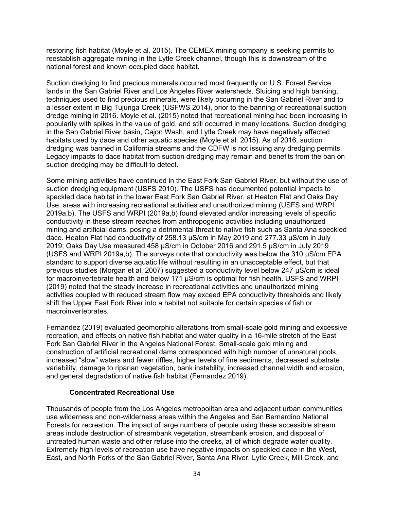restoring fish habitat (Moyle et al. 2015). The CEMEX mining company is seeking permits to reestablish aggregate mining in the Lytle Creek channel, though this is downstream of the national forest and known occupied dace habitat.

Suction dredging to find precious minerals occurred most frequently on U.S. Forest Service lands in the San Gabriel River and Los Angeles River watersheds. Sluicing and high banking, techniques used to find precious minerals, were likely occurring in the San Gabriel River and to a lesser extent in Big Tujunga Creek (USFWS 2014), prior to the banning of recreational suction dredge mining in 2016. Moyle et al. (2015) noted that recreational mining had been increasing in popularity with spikes in the value of gold, and still occurred in many locations. Suction dredging in the San Gabriel River basin, Cajon Wash, and Lytle Creek may have negatively affected habitats used by dace and other aquatic species (Moyle et al. 2015). As of 2016, suction dredging was banned in California streams and the CDFW is not issuing any dredging permits. Legacy impacts to dace habitat from suction dredging may remain and benefits from the ban on suction dredging may be difficult to detect.

Some mining activities have continued in the East Fork San Gabriel River, but without the use of suction dredging equipment (USFS 2010). The USFS has documented potential impacts to speckled dace habitat in the lower East Fork San Gabriel River, at Heaton Flat and Oaks Day Use, areas with increasing recreational activities and unauthorized mining (USFS and WRPI 2019a,b). The USFS and WRPI (2019a,b) found elevated and/or increasing levels of specific conductivity in these stream reaches from anthropogenic activities including unauthorized mining and artificial dams, posing a detrimental threat to native fish such as Santa Ana speckled dace. Heaton Flat had conductivity of 258.13 μS/cm in May 2019 and 277.33 μS/cm in July 2019; Oaks Day Use measured 458 μS/cm in October 2016 and 291.5 μS/cm in July 2019 (USFS and WRPI 2019a,b). The surveys note that conductivity was below the 310 μS/cm EPA standard to support diverse aquatic life without resulting in an unacceptable effect, but that previous studies (Morgan et al. 2007) suggested a conductivity level below 247 μS/cm is ideal for macroinvertebrate health and below 171 μS/cm is optimal for fish health. USFS and WRPI (2019) noted that the steady increase in recreational activities and unauthorized mining activities coupled with reduced stream flow may exceed EPA conductivity thresholds and likely shift the Upper East Fork River into a habitat not suitable for certain species of fish or macroinvertebrates.

Fernandez (2019) evaluated geomorphic alterations from small-scale gold mining and excessive recreation, and effects on native fish habitat and water quality in a 16-mile stretch of the East Fork San Gabriel River in the Angeles National Forest. Small-scale gold mining and construction of artificial recreational dams corresponded with high number of unnatural pools, increased "slow" waters and fewer riffles, higher levels of fine sediments, decreased substrate variability, damage to riparian vegetation, bank instability, increased channel width and erosion, and general degradation of native fish habitat (Fernandez 2019).

#### **Concentrated Recreational Use**

Thousands of people from the Los Angeles metropolitan area and adjacent urban communities use wilderness and non-wilderness areas within the Angeles and San Bernardino National Forests for recreation. The impact of large numbers of people using these accessible stream areas include destruction of streambank vegetation, streambank erosion, and disposal of untreated human waste and other refuse into the creeks, all of which degrade water quality. Extremely high levels of recreation use have negative impacts on speckled dace in the West, East, and North Forks of the San Gabriel River, Santa Ana River, Lytle Creek, Mill Creek, and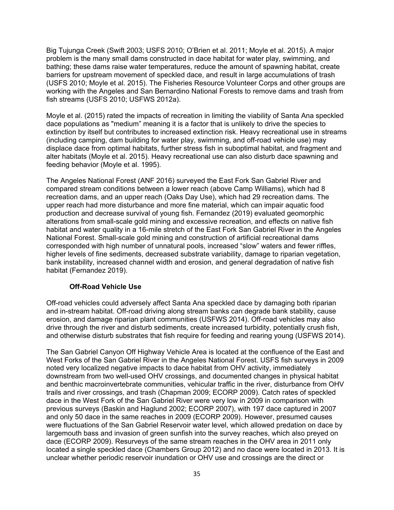Big Tujunga Creek (Swift 2003; USFS 2010; O'Brien et al. 2011; Moyle et al. 2015). A major problem is the many small dams constructed in dace habitat for water play, swimming, and bathing; these dams raise water temperatures, reduce the amount of spawning habitat, create barriers for upstream movement of speckled dace, and result in large accumulations of trash (USFS 2010; Moyle et al. 2015). The Fisheries Resource Volunteer Corps and other groups are working with the Angeles and San Bernardino National Forests to remove dams and trash from fish streams (USFS 2010; USFWS 2012a).

Moyle et al. (2015) rated the impacts of recreation in limiting the viability of Santa Ana speckled dace populations as "medium" meaning it is a factor that is unlikely to drive the species to extinction by itself but contributes to increased extinction risk. Heavy recreational use in streams (including camping, dam building for water play, swimming, and off-road vehicle use) may displace dace from optimal habitats, further stress fish in suboptimal habitat, and fragment and alter habitats (Moyle et al. 2015). Heavy recreational use can also disturb dace spawning and feeding behavior (Moyle et al. 1995).

The Angeles National Forest (ANF 2016) surveyed the East Fork San Gabriel River and compared stream conditions between a lower reach (above Camp Williams), which had 8 recreation dams, and an upper reach (Oaks Day Use), which had 29 recreation dams. The upper reach had more disturbance and more fine material, which can impair aquatic food production and decrease survival of young fish. Fernandez (2019) evaluated geomorphic alterations from small-scale gold mining and excessive recreation, and effects on native fish habitat and water quality in a 16-mile stretch of the East Fork San Gabriel River in the Angeles National Forest. Small-scale gold mining and construction of artificial recreational dams corresponded with high number of unnatural pools, increased "slow" waters and fewer riffles, higher levels of fine sediments, decreased substrate variability, damage to riparian vegetation, bank instability, increased channel width and erosion, and general degradation of native fish habitat (Fernandez 2019).

# **Off-Road Vehicle Use**

Off-road vehicles could adversely affect Santa Ana speckled dace by damaging both riparian and in-stream habitat. Off-road driving along stream banks can degrade bank stability, cause erosion, and damage riparian plant communities (USFWS 2014). Off-road vehicles may also drive through the river and disturb sediments, create increased turbidity, potentially crush fish, and otherwise disturb substrates that fish require for feeding and rearing young (USFWS 2014).

The San Gabriel Canyon Off Highway Vehicle Area is located at the confluence of the East and West Forks of the San Gabriel River in the Angeles National Forest. USFS fish surveys in 2009 noted very localized negative impacts to dace habitat from OHV activity, immediately downstream from two well-used OHV crossings, and documented changes in physical habitat and benthic macroinvertebrate communities, vehicular traffic in the river, disturbance from OHV trails and river crossings, and trash (Chapman 2009; ECORP 2009). Catch rates of speckled dace in the West Fork of the San Gabriel River were very low in 2009 in comparison with previous surveys (Baskin and Haglund 2002; ECORP 2007), with 197 dace captured in 2007 and only 50 dace in the same reaches in 2009 (ECORP 2009). However, presumed causes were fluctuations of the San Gabriel Reservoir water level, which allowed predation on dace by largemouth bass and invasion of green sunfish into the survey reaches, which also preyed on dace (ECORP 2009). Resurveys of the same stream reaches in the OHV area in 2011 only located a single speckled dace (Chambers Group 2012) and no dace were located in 2013. It is unclear whether periodic reservoir inundation or OHV use and crossings are the direct or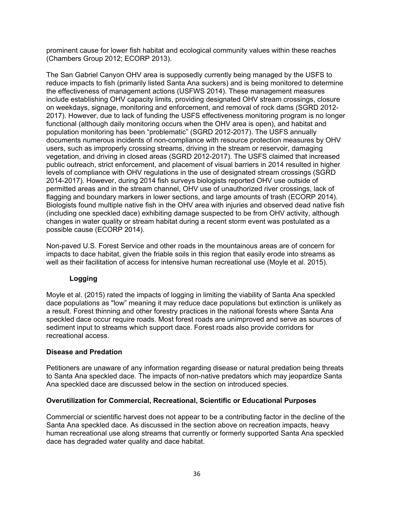prominent cause for lower fish habitat and ecological community values within these reaches (Chambers Group 2012; ECORP 2013).

The San Gabriel Canyon OHV area is supposedly currently being managed by the USFS to reduce impacts to fish (primarily listed Santa Ana suckers) and is being monitored to determine the effectiveness of management actions (USFWS 2014). These management measures include establishing OHV capacity limits, providing designated OHV stream crossings, closure on weekdays, signage, monitoring and enforcement, and removal of rock dams (SGRD 2012- 2017). However, due to lack of funding the USFS effectiveness monitoring program is no longer functional (although daily monitoring occurs when the OHV area is open), and habitat and population monitoring has been "problematic" (SGRD 2012-2017). The USFS annually documents numerous incidents of non-compliance with resource protection measures by OHV users, such as improperly crossing streams, driving in the stream or reservoir, damaging vegetation, and driving in closed areas (SGRD 2012-2017). The USFS claimed that increased public outreach, strict enforcement, and placement of visual barriers in 2014 resulted in higher levels of compliance with OHV regulations in the use of designated stream crossings (SGRD 2014-2017). However, during 2014 fish surveys biologists reported OHV use outside of permitted areas and in the stream channel, OHV use of unauthorized river crossings, lack of flagging and boundary markers in lower sections, and large amounts of trash (ECORP 2014). Biologists found multiple native fish in the OHV area with injuries and observed dead native fish (including one speckled dace) exhibiting damage suspected to be from OHV activity, although changes in water quality or stream habitat during a recent storm event was postulated as a possible cause (ECORP 2014).

Non-paved U.S. Forest Service and other roads in the mountainous areas are of concern for impacts to dace habitat, given the friable soils in this region that easily erode into streams as well as their facilitation of access for intensive human recreational use (Moyle et al. 2015).

# **Logging**

Moyle et al. (2015) rated the impacts of logging in limiting the viability of Santa Ana speckled dace populations as "low" meaning it may reduce dace populations but extinction is unlikely as a result. Forest thinning and other forestry practices in the national forests where Santa Ana speckled dace occur require roads. Most forest roads are unimproved and serve as sources of sediment input to streams which support dace. Forest roads also provide corridors for recreational access.

# **Disease and Predation**

Petitioners are unaware of any information regarding disease or natural predation being threats to Santa Ana speckled dace. The impacts of non-native predators which may jeopardize Santa Ana speckled dace are discussed below in the section on introduced species.

# **Overutilization for Commercial, Recreational, Scientific or Educational Purposes**

Commercial or scientific harvest does not appear to be a contributing factor in the decline of the Santa Ana speckled dace. As discussed in the section above on recreation impacts, heavy human recreational use along streams that currently or formerly supported Santa Ana speckled dace has degraded water quality and dace habitat.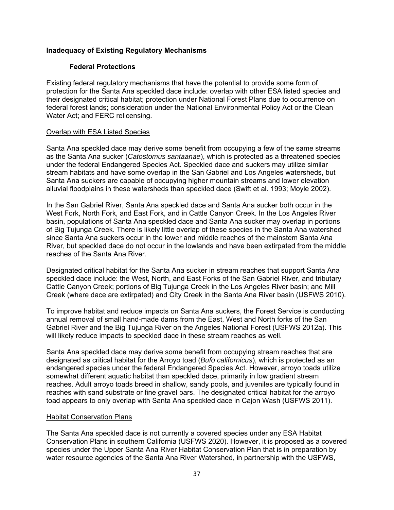# **Inadequacy of Existing Regulatory Mechanisms**

# **Federal Protections**

Existing federal regulatory mechanisms that have the potential to provide some form of protection for the Santa Ana speckled dace include: overlap with other ESA listed species and their designated critical habitat; protection under National Forest Plans due to occurrence on federal forest lands; consideration under the National Environmental Policy Act or the Clean Water Act; and FERC relicensing.

#### Overlap with ESA Listed Species

Santa Ana speckled dace may derive some benefit from occupying a few of the same streams as the Santa Ana sucker (*Catostomus santaanae*), which is protected as a threatened species under the federal Endangered Species Act. Speckled dace and suckers may utilize similar stream habitats and have some overlap in the San Gabriel and Los Angeles watersheds, but Santa Ana suckers are capable of occupying higher mountain streams and lower elevation alluvial floodplains in these watersheds than speckled dace (Swift et al. 1993; Moyle 2002).

In the San Gabriel River, Santa Ana speckled dace and Santa Ana sucker both occur in the West Fork, North Fork, and East Fork, and in Cattle Canyon Creek. In the Los Angeles River basin, populations of Santa Ana speckled dace and Santa Ana sucker may overlap in portions of Big Tujunga Creek. There is likely little overlap of these species in the Santa Ana watershed since Santa Ana suckers occur in the lower and middle reaches of the mainstem Santa Ana River, but speckled dace do not occur in the lowlands and have been extirpated from the middle reaches of the Santa Ana River.

Designated critical habitat for the Santa Ana sucker in stream reaches that support Santa Ana speckled dace include: the West, North, and East Forks of the San Gabriel River, and tributary Cattle Canyon Creek; portions of Big Tujunga Creek in the Los Angeles River basin; and Mill Creek (where dace are extirpated) and City Creek in the Santa Ana River basin (USFWS 2010).

To improve habitat and reduce impacts on Santa Ana suckers, the Forest Service is conducting annual removal of small hand-made dams from the East, West and North forks of the San Gabriel River and the Big Tujunga River on the Angeles National Forest (USFWS 2012a). This will likely reduce impacts to speckled dace in these stream reaches as well.

Santa Ana speckled dace may derive some benefit from occupying stream reaches that are designated as critical habitat for the Arroyo toad (*Bufo californicus*), which is protected as an endangered species under the federal Endangered Species Act. However, arroyo toads utilize somewhat different aquatic habitat than speckled dace, primarily in low gradient stream reaches. Adult arroyo toads breed in shallow, sandy pools, and juveniles are typically found in reaches with sand substrate or fine gravel bars. The designated critical habitat for the arroyo toad appears to only overlap with Santa Ana speckled dace in Cajon Wash (USFWS 2011).

#### Habitat Conservation Plans

The Santa Ana speckled dace is not currently a covered species under any ESA Habitat Conservation Plans in southern California (USFWS 2020). However, it is proposed as a covered species under the Upper Santa Ana River Habitat Conservation Plan that is in preparation by water resource agencies of the Santa Ana River Watershed, in partnership with the USFWS,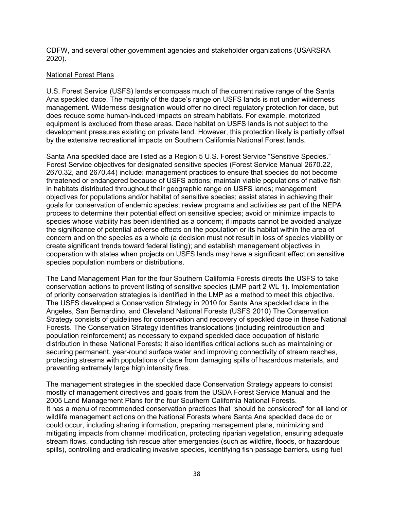CDFW, and several other government agencies and stakeholder organizations (USARSRA 2020).

# National Forest Plans

U.S. Forest Service (USFS) lands encompass much of the current native range of the Santa Ana speckled dace. The majority of the dace's range on USFS lands is not under wilderness management. Wilderness designation would offer no direct regulatory protection for dace, but does reduce some human-induced impacts on stream habitats. For example, motorized equipment is excluded from these areas. Dace habitat on USFS lands is not subject to the development pressures existing on private land. However, this protection likely is partially offset by the extensive recreational impacts on Southern California National Forest lands.

Santa Ana speckled dace are listed as a Region 5 U.S. Forest Service "Sensitive Species." Forest Service objectives for designated sensitive species (Forest Service Manual 2670.22, 2670.32, and 2670.44) include: management practices to ensure that species do not become threatened or endangered because of USFS actions; maintain viable populations of native fish in habitats distributed throughout their geographic range on USFS lands; management objectives for populations and/or habitat of sensitive species; assist states in achieving their goals for conservation of endemic species; review programs and activities as part of the NEPA process to determine their potential effect on sensitive species; avoid or minimize impacts to species whose viability has been identified as a concern; if impacts cannot be avoided analyze the significance of potential adverse effects on the population or its habitat within the area of concern and on the species as a whole (a decision must not result in loss of species viability or create significant trends toward federal listing); and establish management objectives in cooperation with states when projects on USFS lands may have a significant effect on sensitive species population numbers or distributions.

The Land Management Plan for the four Southern California Forests directs the USFS to take conservation actions to prevent listing of sensitive species (LMP part 2 WL 1). Implementation of priority conservation strategies is identified in the LMP as a method to meet this objective. The USFS developed a Conservation Strategy in 2010 for Santa Ana speckled dace in the Angeles, San Bernardino, and Cleveland National Forests (USFS 2010) The Conservation Strategy consists of guidelines for conservation and recovery of speckled dace in these National Forests. The Conservation Strategy identifies translocations (including reintroduction and population reinforcement) as necessary to expand speckled dace occupation of historic distribution in these National Forests; it also identifies critical actions such as maintaining or securing permanent, year-round surface water and improving connectivity of stream reaches, protecting streams with populations of dace from damaging spills of hazardous materials, and preventing extremely large high intensity fires.

The management strategies in the speckled dace Conservation Strategy appears to consist mostly of management directives and goals from the USDA Forest Service Manual and the 2005 Land Management Plans for the four Southern California National Forests. It has a menu of recommended conservation practices that "should be considered" for all land or wildlife management actions on the National Forests where Santa Ana speckled dace do or could occur, including sharing information, preparing management plans, minimizing and mitigating impacts from channel modification, protecting riparian vegetation, ensuring adequate stream flows, conducting fish rescue after emergencies (such as wildfire, floods, or hazardous spills), controlling and eradicating invasive species, identifying fish passage barriers, using fuel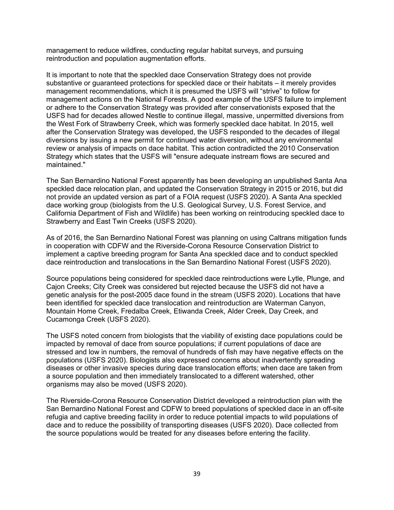management to reduce wildfires, conducting regular habitat surveys, and pursuing reintroduction and population augmentation efforts.

It is important to note that the speckled dace Conservation Strategy does not provide substantive or guaranteed protections for speckled dace or their habitats – it merely provides management recommendations, which it is presumed the USFS will "strive" to follow for management actions on the National Forests. A good example of the USFS failure to implement or adhere to the Conservation Strategy was provided after conservationists exposed that the USFS had for decades allowed Nestle to continue illegal, massive, unpermitted diversions from the West Fork of Strawberry Creek, which was formerly speckled dace habitat. In 2015, well after the Conservation Strategy was developed, the USFS responded to the decades of illegal diversions by issuing a new permit for continued water diversion, without any environmental review or analysis of impacts on dace habitat. This action contradicted the 2010 Conservation Strategy which states that the USFS will "ensure adequate instream flows are secured and maintained."

The San Bernardino National Forest apparently has been developing an unpublished Santa Ana speckled dace relocation plan, and updated the Conservation Strategy in 2015 or 2016, but did not provide an updated version as part of a FOIA request (USFS 2020). A Santa Ana speckled dace working group (biologists from the U.S. Geological Survey, U.S. Forest Service, and California Department of Fish and Wildlife) has been working on reintroducing speckled dace to Strawberry and East Twin Creeks (USFS 2020).

As of 2016, the San Bernardino National Forest was planning on using Caltrans mitigation funds in cooperation with CDFW and the Riverside-Corona Resource Conservation District to implement a captive breeding program for Santa Ana speckled dace and to conduct speckled dace reintroduction and translocations in the San Bernardino National Forest (USFS 2020).

Source populations being considered for speckled dace reintroductions were Lytle, Plunge, and Cajon Creeks; City Creek was considered but rejected because the USFS did not have a genetic analysis for the post-2005 dace found in the stream (USFS 2020). Locations that have been identified for speckled dace translocation and reintroduction are Waterman Canyon, Mountain Home Creek, Fredalba Creek, Etiwanda Creek, Alder Creek, Day Creek, and Cucamonga Creek (USFS 2020).

The USFS noted concern from biologists that the viability of existing dace populations could be impacted by removal of dace from source populations; if current populations of dace are stressed and low in numbers, the removal of hundreds of fish may have negative effects on the populations (USFS 2020). Biologists also expressed concerns about inadvertently spreading diseases or other invasive species during dace translocation efforts; when dace are taken from a source population and then immediately translocated to a different watershed, other organisms may also be moved (USFS 2020).

The Riverside-Corona Resource Conservation District developed a reintroduction plan with the San Bernardino National Forest and CDFW to breed populations of speckled dace in an off-site refugia and captive breeding facility in order to reduce potential impacts to wild populations of dace and to reduce the possibility of transporting diseases (USFS 2020). Dace collected from the source populations would be treated for any diseases before entering the facility.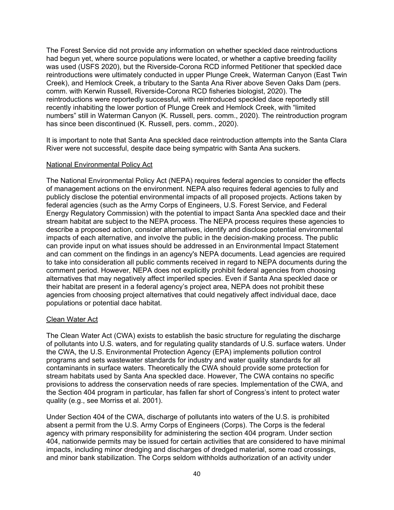The Forest Service did not provide any information on whether speckled dace reintroductions had begun yet, where source populations were located, or whether a captive breeding facility was used (USFS 2020), but the Riverside-Corona RCD informed Petitioner that speckled dace reintroductions were ultimately conducted in upper Plunge Creek, Waterman Canyon (East Twin Creek), and Hemlock Creek, a tributary to the Santa Ana River above Seven Oaks Dam (pers. comm. with Kerwin Russell, Riverside-Corona RCD fisheries biologist, 2020). The reintroductions were reportedly successful, with reintroduced speckled dace reportedly still recently inhabiting the lower portion of Plunge Creek and Hemlock Creek, with "limited numbers" still in Waterman Canyon (K. Russell, pers. comm., 2020). The reintroduction program has since been discontinued (K. Russell, pers. comm., 2020).

It is important to note that Santa Ana speckled dace reintroduction attempts into the Santa Clara River were not successful, despite dace being sympatric with Santa Ana suckers.

#### National Environmental Policy Act

The National Environmental Policy Act (NEPA) requires federal agencies to consider the effects of management actions on the environment. NEPA also requires federal agencies to fully and publicly disclose the potential environmental impacts of all proposed projects. Actions taken by federal agencies (such as the Army Corps of Engineers, U.S. Forest Service, and Federal Energy Regulatory Commission) with the potential to impact Santa Ana speckled dace and their stream habitat are subject to the NEPA process. The NEPA process requires these agencies to describe a proposed action, consider alternatives, identify and disclose potential environmental impacts of each alternative, and involve the public in the decision-making process. The public can provide input on what issues should be addressed in an Environmental Impact Statement and can comment on the findings in an agency's NEPA documents. Lead agencies are required to take into consideration all public comments received in regard to NEPA documents during the comment period. However, NEPA does not explicitly prohibit federal agencies from choosing alternatives that may negatively affect imperiled species. Even if Santa Ana speckled dace or their habitat are present in a federal agency's project area, NEPA does not prohibit these agencies from choosing project alternatives that could negatively affect individual dace, dace populations or potential dace habitat.

#### Clean Water Act

The Clean Water Act (CWA) exists to establish the basic structure for regulating the discharge of pollutants into U.S. waters, and for regulating quality standards of U.S. surface waters. Under the CWA, the U.S. Environmental Protection Agency (EPA) implements pollution control programs and sets wastewater standards for industry and water quality standards for all contaminants in surface waters. Theoretically the CWA should provide some protection for stream habitats used by Santa Ana speckled dace. However, The CWA contains no specific provisions to address the conservation needs of rare species. Implementation of the CWA, and the Section 404 program in particular, has fallen far short of Congress's intent to protect water quality (e.g., see Morriss et al. 2001).

Under Section 404 of the CWA, discharge of pollutants into waters of the U.S. is prohibited absent a permit from the U.S. Army Corps of Engineers (Corps). The Corps is the federal agency with primary responsibility for administering the section 404 program. Under section 404, nationwide permits may be issued for certain activities that are considered to have minimal impacts, including minor dredging and discharges of dredged material, some road crossings, and minor bank stabilization. The Corps seldom withholds authorization of an activity under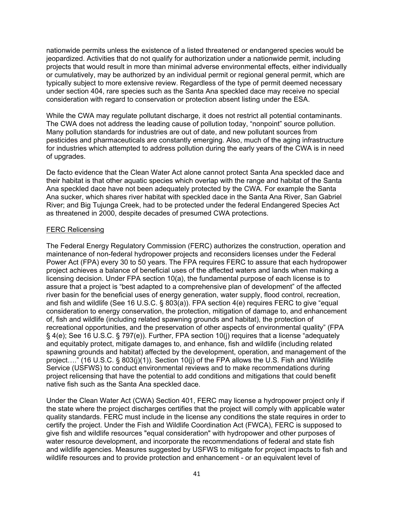nationwide permits unless the existence of a listed threatened or endangered species would be jeopardized. Activities that do not qualify for authorization under a nationwide permit, including projects that would result in more than minimal adverse environmental effects, either individually or cumulatively, may be authorized by an individual permit or regional general permit, which are typically subject to more extensive review. Regardless of the type of permit deemed necessary under section 404, rare species such as the Santa Ana speckled dace may receive no special consideration with regard to conservation or protection absent listing under the ESA.

While the CWA may regulate pollutant discharge, it does not restrict all potential contaminants. The CWA does not address the leading cause of pollution today, "nonpoint" source pollution. Many pollution standards for industries are out of date, and new pollutant sources from pesticides and pharmaceuticals are constantly emerging. Also, much of the aging infrastructure for industries which attempted to address pollution during the early years of the CWA is in need of upgrades.

De facto evidence that the Clean Water Act alone cannot protect Santa Ana speckled dace and their habitat is that other aquatic species which overlap with the range and habitat of the Santa Ana speckled dace have not been adequately protected by the CWA. For example the Santa Ana sucker, which shares river habitat with speckled dace in the Santa Ana River, San Gabriel River; and Big Tujunga Creek, had to be protected under the federal Endangered Species Act as threatened in 2000, despite decades of presumed CWA protections.

### FERC Relicensing

The Federal Energy Regulatory Commission (FERC) authorizes the construction, operation and maintenance of non-federal hydropower projects and reconsiders licenses under the Federal Power Act (FPA) every 30 to 50 years. The FPA requires FERC to assure that each hydropower project achieves a balance of beneficial uses of the affected waters and lands when making a licensing decision. Under FPA section 10(a), the fundamental purpose of each license is to assure that a project is "best adapted to a comprehensive plan of development" of the affected river basin for the beneficial uses of energy generation, water supply, flood control, recreation, and fish and wildlife (See 16 U.S.C. § 803(a)). FPA section 4(e) requires FERC to give "equal consideration to energy conservation, the protection, mitigation of damage to, and enhancement of, fish and wildlife (including related spawning grounds and habitat), the protection of recreational opportunities, and the preservation of other aspects of environmental quality" (FPA § 4(e); See 16 U.S.C. § 797(e)). Further, FPA section 10(j) requires that a license "adequately and equitably protect, mitigate damages to, and enhance, fish and wildlife (including related spawning grounds and habitat) affected by the development, operation, and management of the project…." (16 U.S.C. § 803(j)(1)). Section 10(j) of the FPA allows the U.S. Fish and Wildlife Service (USFWS) to conduct environmental reviews and to make recommendations during project relicensing that have the potential to add conditions and mitigations that could benefit native fish such as the Santa Ana speckled dace.

Under the Clean Water Act (CWA) Section 401, FERC may license a hydropower project only if the state where the project discharges certifies that the project will comply with applicable water quality standards. FERC must include in the license any conditions the state requires in order to certify the project. Under the Fish and Wildlife Coordination Act (FWCA), FERC is supposed to give fish and wildlife resources "equal consideration" with hydropower and other purposes of water resource development, and incorporate the recommendations of federal and state fish and wildlife agencies. Measures suggested by USFWS to mitigate for project impacts to fish and wildlife resources and to provide protection and enhancement - or an equivalent level of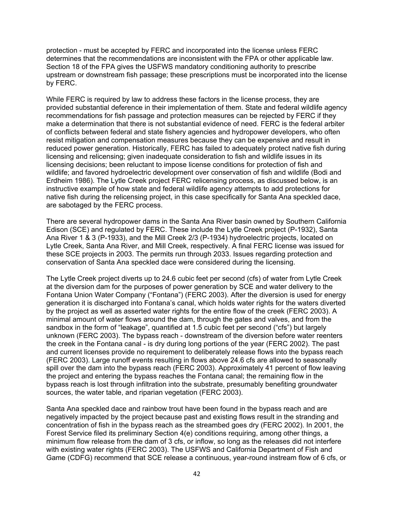protection - must be accepted by FERC and incorporated into the license unless FERC determines that the recommendations are inconsistent with the FPA or other applicable law. Section 18 of the FPA gives the USFWS mandatory conditioning authority to prescribe upstream or downstream fish passage; these prescriptions must be incorporated into the license by FERC.

While FERC is required by law to address these factors in the license process, they are provided substantial deference in their implementation of them. State and federal wildlife agency recommendations for fish passage and protection measures can be rejected by FERC if they make a determination that there is not substantial evidence of need. FERC is the federal arbiter of conflicts between federal and state fishery agencies and hydropower developers, who often resist mitigation and compensation measures because they can be expensive and result in reduced power generation. Historically, FERC has failed to adequately protect native fish during licensing and relicensing; given inadequate consideration to fish and wildlife issues in its licensing decisions; been reluctant to impose license conditions for protection of fish and wildlife; and favored hydroelectric development over conservation of fish and wildlife (Bodi and Erdheim 1986). The Lytle Creek project FERC relicensing process, as discussed below, is an instructive example of how state and federal wildlife agency attempts to add protections for native fish during the relicensing project, in this case specifically for Santa Ana speckled dace, are sabotaged by the FERC process.

There are several hydropower dams in the Santa Ana River basin owned by Southern California Edison (SCE) and regulated by FERC. These include the Lytle Creek project (P-1932), Santa Ana River 1 & 3 (P-1933), and the Mill Creek 2/3 (P-1934) hydroelectric projects, located on Lytle Creek, Santa Ana River, and Mill Creek, respectively. A final FERC license was issued for these SCE projects in 2003. The permits run through 2033. Issues regarding protection and conservation of Santa Ana speckled dace were considered during the licensing.

The Lytle Creek project diverts up to 24.6 cubic feet per second (cfs) of water from Lytle Creek at the diversion dam for the purposes of power generation by SCE and water delivery to the Fontana Union Water Company ("Fontana") (FERC 2003). After the diversion is used for energy generation it is discharged into Fontana's canal, which holds water rights for the waters diverted by the project as well as asserted water rights for the entire flow of the creek (FERC 2003). A minimal amount of water flows around the dam, through the gates and valves, and from the sandbox in the form of "leakage", quantified at 1.5 cubic feet per second ("cfs") but largely unknown (FERC 2003). The bypass reach - downstream of the diversion before water reenters the creek in the Fontana canal - is dry during long portions of the year (FERC 2002). The past and current licenses provide no requirement to deliberately release flows into the bypass reach (FERC 2003). Large runoff events resulting in flows above 24.6 cfs are allowed to seasonally spill over the dam into the bypass reach (FERC 2003). Approximately 41 percent of flow leaving the project and entering the bypass reaches the Fontana canal; the remaining flow in the bypass reach is lost through infiltration into the substrate, presumably benefiting groundwater sources, the water table, and riparian vegetation (FERC 2003).

Santa Ana speckled dace and rainbow trout have been found in the bypass reach and are negatively impacted by the project because past and existing flows result in the stranding and concentration of fish in the bypass reach as the streambed goes dry (FERC 2002). In 2001, the Forest Service filed its preliminary Section 4(e) conditions requiring, among other things, a minimum flow release from the dam of 3 cfs, or inflow, so long as the releases did not interfere with existing water rights (FERC 2003). The USFWS and California Department of Fish and Game (CDFG) recommend that SCE release a continuous, year-round instream flow of 6 cfs, or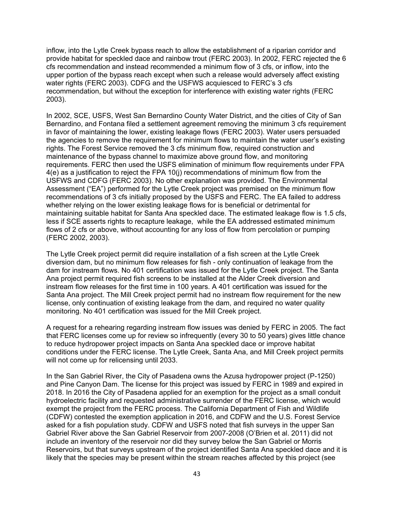inflow, into the Lytle Creek bypass reach to allow the establishment of a riparian corridor and provide habitat for speckled dace and rainbow trout (FERC 2003). In 2002, FERC rejected the 6 cfs recommendation and instead recommended a minimum flow of 3 cfs, or inflow, into the upper portion of the bypass reach except when such a release would adversely affect existing water rights (FERC 2003). CDFG and the USFWS acquiesced to FERC's 3 cfs recommendation, but without the exception for interference with existing water rights (FERC 2003).

In 2002, SCE, USFS, West San Bernardino County Water District, and the cities of City of San Bernardino, and Fontana filed a settlement agreement removing the minimum 3 cfs requirement in favor of maintaining the lower, existing leakage flows (FERC 2003). Water users persuaded the agencies to remove the requirement for minimum flows to maintain the water user's existing rights. The Forest Service removed the 3 cfs minimum flow, required construction and maintenance of the bypass channel to maximize above ground flow, and monitoring requirements. FERC then used the USFS elimination of minimum flow requirements under FPA 4(e) as a justification to reject the FPA 10(j) recommendations of minimum flow from the USFWS and CDFG (FERC 2003). No other explanation was provided. The Environmental Assessment ("EA") performed for the Lytle Creek project was premised on the minimum flow recommendations of 3 cfs initially proposed by the USFS and FERC. The EA failed to address whether relying on the lower existing leakage flows for is beneficial or detrimental for maintaining suitable habitat for Santa Ana speckled dace. The estimated leakage flow is 1.5 cfs, less if SCE asserts rights to recapture leakage, while the EA addressed estimated minimum flows of 2 cfs or above, without accounting for any loss of flow from percolation or pumping (FERC 2002, 2003).

The Lytle Creek project permit did require installation of a fish screen at the Lytle Creek diversion dam, but no minimum flow releases for fish - only continuation of leakage from the dam for instream flows. No 401 certification was issued for the Lytle Creek project. The Santa Ana project permit required fish screens to be installed at the Alder Creek diversion and instream flow releases for the first time in 100 years. A 401 certification was issued for the Santa Ana project. The Mill Creek project permit had no instream flow requirement for the new license, only continuation of existing leakage from the dam, and required no water quality monitoring. No 401 certification was issued for the Mill Creek project.

A request for a rehearing regarding instream flow issues was denied by FERC in 2005. The fact that FERC licenses come up for review so infrequently (every 30 to 50 years) gives little chance to reduce hydropower project impacts on Santa Ana speckled dace or improve habitat conditions under the FERC license. The Lytle Creek, Santa Ana, and Mill Creek project permits will not come up for relicensing until 2033.

In the San Gabriel River, the City of Pasadena owns the Azusa hydropower project (P-1250) and Pine Canyon Dam. The license for this project was issued by FERC in 1989 and expired in 2018. In 2016 the City of Pasadena applied for an exemption for the project as a small conduit hydroelectric facility and requested administrative surrender of the FERC license, which would exempt the project from the FERC process. The California Department of Fish and Wildlife (CDFW) contested the exemption application in 2016, and CDFW and the U.S. Forest Service asked for a fish population study. CDFW and USFS noted that fish surveys in the upper San Gabriel River above the San Gabriel Reservoir from 2007-2008 (O'Brien et al. 2011) did not include an inventory of the reservoir nor did they survey below the San Gabriel or Morris Reservoirs, but that surveys upstream of the project identified Santa Ana speckled dace and it is likely that the species may be present within the stream reaches affected by this project (see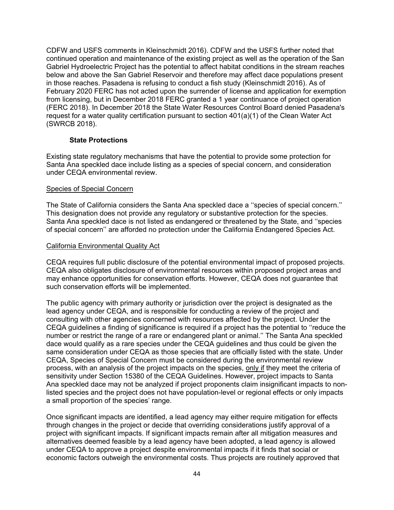CDFW and USFS comments in Kleinschmidt 2016). CDFW and the USFS further noted that continued operation and maintenance of the existing project as well as the operation of the San Gabriel Hydroelectric Project has the potential to affect habitat conditions in the stream reaches below and above the San Gabriel Reservoir and therefore may affect dace populations present in those reaches. Pasadena is refusing to conduct a fish study (Kleinschmidt 2016). As of February 2020 FERC has not acted upon the surrender of license and application for exemption from licensing, but in December 2018 FERC granted a 1 year continuance of project operation (FERC 2018). In December 2018 the State Water Resources Control Board denied Pasadena's request for a water quality certification pursuant to section 401(a)(1) of the Clean Water Act (SWRCB 2018).

# **State Protections**

Existing state regulatory mechanisms that have the potential to provide some protection for Santa Ana speckled dace include listing as a species of special concern, and consideration under CEQA environmental review.

#### Species of Special Concern

The State of California considers the Santa Ana speckled dace a ''species of special concern.'' This designation does not provide any regulatory or substantive protection for the species. Santa Ana speckled dace is not listed as endangered or threatened by the State, and ''species of special concern'' are afforded no protection under the California Endangered Species Act.

#### California Environmental Quality Act

CEQA requires full public disclosure of the potential environmental impact of proposed projects. CEQA also obligates disclosure of environmental resources within proposed project areas and may enhance opportunities for conservation efforts. However, CEQA does not guarantee that such conservation efforts will be implemented.

The public agency with primary authority or jurisdiction over the project is designated as the lead agency under CEQA, and is responsible for conducting a review of the project and consulting with other agencies concerned with resources affected by the project. Under the CEQA guidelines a finding of significance is required if a project has the potential to ''reduce the number or restrict the range of a rare or endangered plant or animal.'' The Santa Ana speckled dace would qualify as a rare species under the CEQA guidelines and thus could be given the same consideration under CEQA as those species that are officially listed with the state. Under CEQA, Species of Special Concern must be considered during the environmental review process, with an analysis of the project impacts on the species, only if they meet the criteria of sensitivity under Section 15380 of the CEQA Guidelines. However, project impacts to Santa Ana speckled dace may not be analyzed if project proponents claim insignificant impacts to nonlisted species and the project does not have population-level or regional effects or only impacts a small proportion of the species' range.

Once significant impacts are identified, a lead agency may either require mitigation for effects through changes in the project or decide that overriding considerations justify approval of a project with significant impacts. If significant impacts remain after all mitigation measures and alternatives deemed feasible by a lead agency have been adopted, a lead agency is allowed under CEQA to approve a project despite environmental impacts if it finds that social or economic factors outweigh the environmental costs. Thus projects are routinely approved that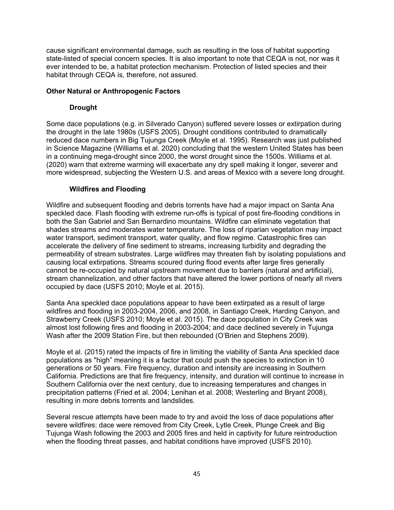cause significant environmental damage, such as resulting in the loss of habitat supporting state-listed of special concern species. It is also important to note that CEQA is not, nor was it ever intended to be, a habitat protection mechanism. Protection of listed species and their habitat through CEQA is, therefore, not assured.

# **Other Natural or Anthropogenic Factors**

# **Drought**

Some dace populations (e.g. in Silverado Canyon) suffered severe losses or extirpation during the drought in the late 1980s (USFS 2005). Drought conditions contributed to dramatically reduced dace numbers in Big Tujunga Creek (Moyle et al. 1995). Research was just published in Science Magazine (Williams et al. 2020) concluding that the western United States has been in a continuing mega-drought since 2000, the worst drought since the 1500s. Williams et al. (2020) warn that extreme warming will exacerbate any dry spell making it longer, severer and more widespread, subjecting the Western U.S. and areas of Mexico with a severe long drought.

# **Wildfires and Flooding**

Wildfire and subsequent flooding and debris torrents have had a major impact on Santa Ana speckled dace. Flash flooding with extreme run-offs is typical of post fire-flooding conditions in both the San Gabriel and San Bernardino mountains. Wildfire can eliminate vegetation that shades streams and moderates water temperature. The loss of riparian vegetation may impact water transport, sediment transport, water quality, and flow regime. Catastrophic fires can accelerate the delivery of fine sediment to streams, increasing turbidity and degrading the permeability of stream substrates. Large wildfires may threaten fish by isolating populations and causing local extirpations. Streams scoured during flood events after large fires generally cannot be re-occupied by natural upstream movement due to barriers (natural and artificial), stream channelization, and other factors that have altered the lower portions of nearly all rivers occupied by dace (USFS 2010; Moyle et al. 2015).

Santa Ana speckled dace populations appear to have been extirpated as a result of large wildfires and flooding in 2003-2004, 2006, and 2008, in Santiago Creek, Harding Canyon, and Strawberry Creek (USFS 2010; Moyle et al. 2015). The dace population in City Creek was almost lost following fires and flooding in 2003-2004; and dace declined severely in Tujunga Wash after the 2009 Station Fire, but then rebounded (O'Brien and Stephens 2009).

Moyle et al. (2015) rated the impacts of fire in limiting the viability of Santa Ana speckled dace populations as "high" meaning it is a factor that could push the species to extinction in 10 generations or 50 years. Fire frequency, duration and intensity are increasing in Southern California. Predictions are that fire frequency, intensity, and duration will continue to increase in Southern California over the next century, due to increasing temperatures and changes in precipitation patterns (Fried et al. 2004; Lenihan et al. 2008; Westerling and Bryant 2008), resulting in more debris torrents and landslides.

Several rescue attempts have been made to try and avoid the loss of dace populations after severe wildfires: dace were removed from City Creek, Lytle Creek, Plunge Creek and Big Tujunga Wash following the 2003 and 2005 fires and held in captivity for future reintroduction when the flooding threat passes, and habitat conditions have improved (USFS 2010).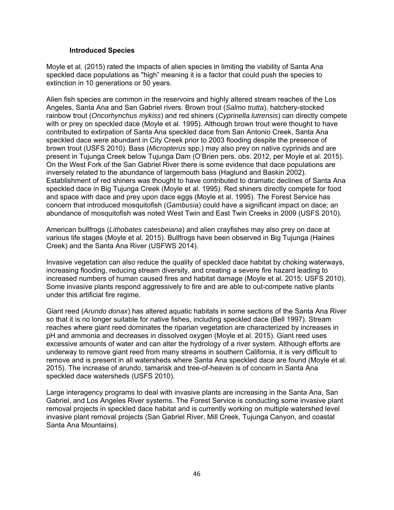### **Introduced Species**

Moyle et al. (2015) rated the impacts of alien species in limiting the viability of Santa Ana speckled dace populations as "high" meaning it is a factor that could push the species to extinction in 10 generations or 50 years.

Alien fish species are common in the reservoirs and highly altered stream reaches of the Los Angeles, Santa Ana and San Gabriel rivers. Brown trout (*Salmo trutta*), hatchery-stocked rainbow trout (*Oncorhynchus mykiss*) and red shiners (*Cyprinella lutrensis*) can directly compete with or prey on speckled dace (Moyle et al. 1995). Although brown trout were thought to have contributed to extirpation of Santa Ana speckled dace from San Antonio Creek, Santa Ana speckled dace were abundant in City Creek prior to 2003 flooding despite the presence of brown trout (USFS 2010). Bass (*Micropterus* spp.) may also prey on native cyprinids and are present in Tujunga Creek below Tujunga Dam (O'Brien pers. obs. 2012, per Moyle et al. 2015). On the West Fork of the San Gabriel River there is some evidence that dace populations are inversely related to the abundance of largemouth bass (Haglund and Baskin 2002). Establishment of red shiners was thought to have contributed to dramatic declines of Santa Ana speckled dace in Big Tujunga Creek (Moyle et al. 1995). Red shiners directly compete for food and space with dace and prey upon dace eggs (Moyle et al. 1995). The Forest Service has concern that introduced mosquitofish (*Gambusia*) could have a significant impact on dace; an abundance of mosquitofish was noted West Twin and East Twin Creeks in 2009 (USFS 2010).

American bullfrogs (*Lithobates catesbeiana*) and alien crayfishes may also prey on dace at various life stages (Moyle et al. 2015). Bullfrogs have been observed in Big Tujunga (Haines Creek) and the Santa Ana River (USFWS 2014).

Invasive vegetation can also reduce the quality of speckled dace habitat by choking waterways, increasing flooding, reducing stream diversity, and creating a severe fire hazard leading to increased numbers of human caused fires and habitat damage (Moyle et al. 2015; USFS 2010). Some invasive plants respond aggressively to fire and are able to out-compete native plants under this artificial fire regime.

Giant reed (*Arundo donax*) has altered aquatic habitats in some sections of the Santa Ana River so that it is no longer suitable for native fishes, including speckled dace (Bell 1997). Stream reaches where giant reed dominates the riparian vegetation are characterized by increases in pH and ammonia and decreases in dissolved oxygen (Moyle et al. 2015). Giant reed uses excessive amounts of water and can alter the hydrology of a river system. Although efforts are underway to remove giant reed from many streams in southern California, it is very difficult to remove and is present in all watersheds where Santa Ana speckled dace are found (Moyle et al. 2015). The increase of arundo, tamarisk and tree-of-heaven is of concern in Santa Ana speckled dace watersheds (USFS 2010).

Large interagency programs to deal with invasive plants are increasing in the Santa Ana, San Gabriel, and Los Angeles River systems. The Forest Service is conducting some invasive plant removal projects in speckled dace habitat and is currently working on multiple watershed level invasive plant removal projects (San Gabriel River, Mill Creek, Tujunga Canyon, and coastal Santa Ana Mountains).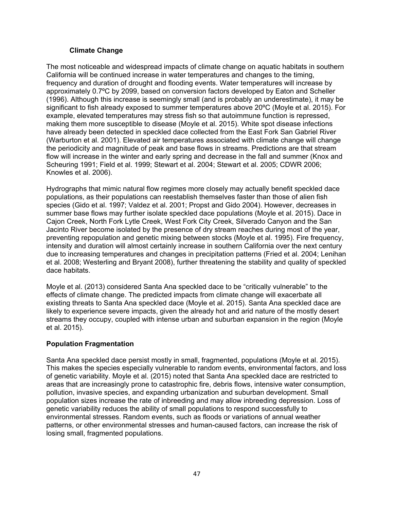# **Climate Change**

The most noticeable and widespread impacts of climate change on aquatic habitats in southern California will be continued increase in water temperatures and changes to the timing, frequency and duration of drought and flooding events. Water temperatures will increase by approximately 0.7ºC by 2099, based on conversion factors developed by Eaton and Scheller (1996). Although this increase is seemingly small (and is probably an underestimate), it may be significant to fish already exposed to summer temperatures above 20ºC (Moyle et al. 2015). For example, elevated temperatures may stress fish so that autoimmune function is repressed, making them more susceptible to disease (Moyle et al. 2015). White spot disease infections have already been detected in speckled dace collected from the East Fork San Gabriel River (Warburton et al. 2001). Elevated air temperatures associated with climate change will change the periodicity and magnitude of peak and base flows in streams. Predictions are that stream flow will increase in the winter and early spring and decrease in the fall and summer (Knox and Scheuring 1991; Field et al. 1999; Stewart et al. 2004; Stewart et al. 2005; CDWR 2006; Knowles et al. 2006).

Hydrographs that mimic natural flow regimes more closely may actually benefit speckled dace populations, as their populations can reestablish themselves faster than those of alien fish species (Gido et al. 1997; Valdez et al. 2001; Propst and Gido 2004). However, decreases in summer base flows may further isolate speckled dace populations (Moyle et al. 2015). Dace in Cajon Creek, North Fork Lytle Creek, West Fork City Creek, Silverado Canyon and the San Jacinto River become isolated by the presence of dry stream reaches during most of the year, preventing repopulation and genetic mixing between stocks (Moyle et al. 1995). Fire frequency, intensity and duration will almost certainly increase in southern California over the next century due to increasing temperatures and changes in precipitation patterns (Fried et al. 2004; Lenihan et al. 2008; Westerling and Bryant 2008), further threatening the stability and quality of speckled dace habitats.

Moyle et al. (2013) considered Santa Ana speckled dace to be "critically vulnerable" to the effects of climate change. The predicted impacts from climate change will exacerbate all existing threats to Santa Ana speckled dace (Moyle et al. 2015). Santa Ana speckled dace are likely to experience severe impacts, given the already hot and arid nature of the mostly desert streams they occupy, coupled with intense urban and suburban expansion in the region (Moyle et al. 2015).

# **Population Fragmentation**

Santa Ana speckled dace persist mostly in small, fragmented, populations (Moyle et al. 2015). This makes the species especially vulnerable to random events, environmental factors, and loss of genetic variability. Moyle et al. (2015) noted that Santa Ana speckled dace are restricted to areas that are increasingly prone to catastrophic fire, debris flows, intensive water consumption, pollution, invasive species, and expanding urbanization and suburban development. Small population sizes increase the rate of inbreeding and may allow inbreeding depression. Loss of genetic variability reduces the ability of small populations to respond successfully to environmental stresses. Random events, such as floods or variations of annual weather patterns, or other environmental stresses and human-caused factors, can increase the risk of losing small, fragmented populations.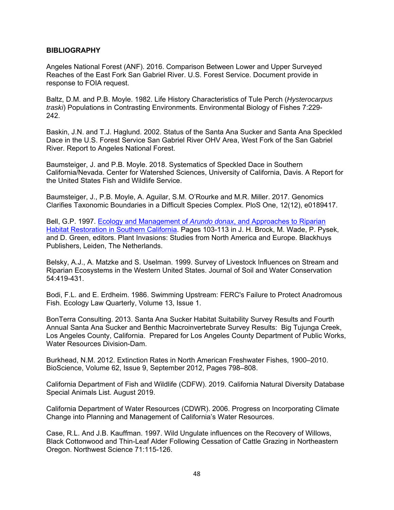### **BIBLIOGRAPHY**

Angeles National Forest (ANF). 2016. Comparison Between Lower and Upper Surveyed Reaches of the East Fork San Gabriel River. U.S. Forest Service. Document provide in response to FOIA request.

Baltz, D.M. and P.B. Moyle. 1982. Life History Characteristics of Tule Perch (*Hysterocarpus traski*) Populations in Contrasting Environments. Environmental Biology of Fishes 7:229- 242.

Baskin, J.N. and T.J. Haglund. 2002. Status of the Santa Ana Sucker and Santa Ana Speckled Dace in the U.S. Forest Service San Gabriel River OHV Area, West Fork of the San Gabriel River. Report to Angeles National Forest.

Baumsteiger, J. and P.B. Moyle. 2018. Systematics of Speckled Dace in Southern California/Nevada. Center for Watershed Sciences, University of California, Davis. A Report for the United States Fish and Wildlife Service.

Baumsteiger, J., P.B. Moyle, A. Aguilar, S.M. O'Rourke and M.R. Miller. 2017. Genomics Clarifies Taxonomic Boundaries in a Difficult Species Complex. PloS One, 12(12), e0189417.

Bell, G.P. 1997. Ecology and Management of *Arundo donax*, and Approaches to Riparian Habitat Restoration in Southern California. Pages 103-113 in J. H. Brock, M. Wade, P. Pysek, and D. Green, editors. Plant Invasions: Studies from North America and Europe. Blackhuys Publishers, Leiden, The Netherlands.

Belsky, A.J., A. Matzke and S. Uselman. 1999. Survey of Livestock Influences on Stream and Riparian Ecosystems in the Western United States. Journal of Soil and Water Conservation 54:419-431.

Bodi, F.L. and E. Erdheim. 1986. Swimming Upstream: FERC's Failure to Protect Anadromous Fish. Ecology Law Quarterly, Volume 13, Issue 1.

BonTerra Consulting. 2013. Santa Ana Sucker Habitat Suitability Survey Results and Fourth Annual Santa Ana Sucker and Benthic Macroinvertebrate Survey Results: Big Tujunga Creek, Los Angeles County, California. Prepared for Los Angeles County Department of Public Works, Water Resources Division-Dam.

Burkhead, N.M. 2012. Extinction Rates in North American Freshwater Fishes, 1900–2010. BioScience, Volume 62, Issue 9, September 2012, Pages 798–808.

California Department of Fish and Wildlife (CDFW). 2019. California Natural Diversity Database Special Animals List. August 2019.

California Department of Water Resources (CDWR). 2006. Progress on Incorporating Climate Change into Planning and Management of California's Water Resources.

Case, R.L. And J.B. Kauffman. 1997. Wild Ungulate influences on the Recovery of Willows, Black Cottonwood and Thin-Leaf Alder Following Cessation of Cattle Grazing in Northeastern Oregon. Northwest Science 71:115-126.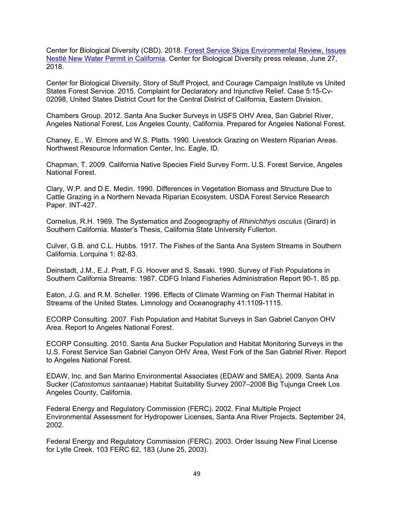Center for Biological Diversity (CBD). 2018. Forest Service Skips Environmental Review, Issues Nestlé New Water Permit in California. Center for Biological Diversity press release, June 27, 2018.

Center for Biological Diversity, Story of Stuff Project, and Courage Campaign Institute vs United States Forest Service. 2015. Complaint for Declaratory and Injunctive Relief. Case 5:15-Cv-02098, United States District Court for the Central District of California, Eastern Division.

Chambers Group. 2012. Santa Ana Sucker Surveys in USFS OHV Area, San Gabriel River, Angeles National Forest, Los Angeles County, California. Prepared for Angeles National Forest.

Chaney, E., W. Elmore and W.S. Platts. 1990. Livestock Grazing on Western Riparian Areas. Northwest Resource Information Center, Inc. Eagle, ID.

Chapman, T. 2009. California Native Species Field Survey Form. U.S. Forest Service, Angeles National Forest.

Clary, W.P. and D.E. Medin. 1990. Differences in Vegetation Biomass and Structure Due to Cattle Grazing in a Northern Nevada Riparian Ecosystem. USDA Forest Service Research Paper. INT-427.

Cornelius, R.H. 1969. The Systematics and Zoogeography of *Rhinichthys osculus* (Girard) in Southern California. Master's Thesis, California State University Fullerton.

Culver, G.B. and C.L. Hubbs. 1917. The Fishes of the Santa Ana System Streams in Southern California. Lorquina 1: 82-83.

Deinstadt, J.M., E.J. Pratt, F.G. Hoover and S. Sasaki. 1990. Survey of Fish Populations in Southern California Streams: 1987. CDFG Inland Fisheries Administration Report 90-1. 85 pp.

Eaton, J.G. and R.M. Scheller. 1996. Effects of Climate Warming on Fish Thermal Habitat in Streams of the United States. Limnology and Oceanography 41:1109-1115.

ECORP Consulting. 2007. Fish Population and Habitat Surveys in San Gabriel Canyon OHV Area. Report to Angeles National Forest.

ECORP Consulting. 2010. Santa Ana Sucker Population and Habitat Monitoring Surveys in the U.S. Forest Service San Gabriel Canyon OHV Area, West Fork of the San Gabriel River. Report to Angeles National Forest.

EDAW, Inc. and San Marino Environmental Associates (EDAW and SMEA). 2009. Santa Ana Sucker (*Catostomus santaanae*) Habitat Suitability Survey 2007–2008 Big Tujunga Creek Los Angeles County, California.

Federal Energy and Regulatory Commission (FERC). 2002. Final Multiple Project Environmental Assessment for Hydropower Licenses, Santa Ana River Projects. September 24, 2002.

Federal Energy and Regulatory Commission (FERC). 2003. Order Issuing New Final License for Lytle Creek. 103 FERC 62, 183 (June 25, 2003).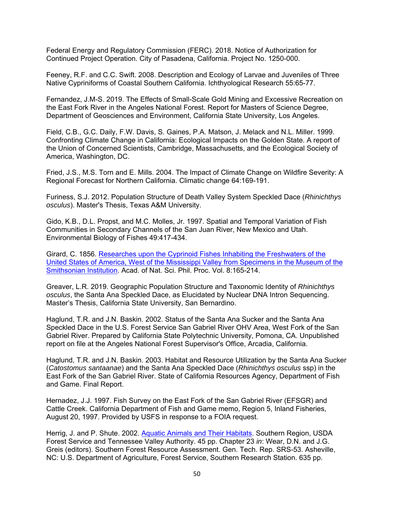Federal Energy and Regulatory Commission (FERC). 2018. Notice of Authorization for Continued Project Operation. City of Pasadena, California. Project No. 1250-000.

Feeney, R.F. and C.C. Swift. 2008. Description and Ecology of Larvae and Juveniles of Three Native Cypriniforms of Coastal Southern California. Ichthyological Research 55:65-77.

Fernandez, J.M-S. 2019. The Effects of Small-Scale Gold Mining and Excessive Recreation on the East Fork River in the Angeles National Forest. Report for Masters of Science Degree, Department of Geosciences and Environment, California State University, Los Angeles.

Field, C.B., G.C. Daily, F.W. Davis, S. Gaines, P.A. Matson, J. Melack and N.L. Miller. 1999. Confronting Climate Change in California: Ecological Impacts on the Golden State. A report of the Union of Concerned Scientists, Cambridge, Massachusetts, and the Ecological Society of America, Washington, DC.

Fried, J.S., M.S. Torn and E. Mills. 2004. The Impact of Climate Change on Wildfire Severity: A Regional Forecast for Northern California. Climatic change 64:169-191.

Furiness, S.J. 2012. Population Structure of Death Valley System Speckled Dace (*Rhinichthys osculus*). Master's Thesis, Texas A&M University.

Gido, K.B., D.L. Propst, and M.C. Molles, Jr. 1997. Spatial and Temporal Variation of Fish Communities in Secondary Channels of the San Juan River, New Mexico and Utah. Environmental Biology of Fishes 49:417-434.

Girard, C. 1856. Researches upon the Cyprinoid Fishes Inhabiting the Freshwaters of the United States of America, West of the Mississippi Valley from Specimens in the Museum of the Smithsonian Institution. Acad. of Nat. Sci. Phil. Proc. Vol. 8:165-214.

Greaver, L.R. 2019. Geographic Population Structure and Taxonomic Identity of *Rhinichthys osculus*, the Santa Ana Speckled Dace, as Elucidated by Nuclear DNA Intron Sequencing. Master's Thesis, California State University, San Bernardino.

Haglund, T.R. and J.N. Baskin. 2002. Status of the Santa Ana Sucker and the Santa Ana Speckled Dace in the U.S. Forest Service San Gabriel River OHV Area, West Fork of the San Gabriel River. Prepared by California State Polytechnic University, Pomona, CA. Unpublished report on file at the Angeles National Forest Supervisor's Office, Arcadia, California.

Haglund, T.R. and J.N. Baskin. 2003. Habitat and Resource Utilization by the Santa Ana Sucker (*Catostomus santaanae*) and the Santa Ana Speckled Dace (*Rhinichthys osculus* ssp) in the East Fork of the San Gabriel River. State of California Resources Agency, Department of Fish and Game. Final Report.

Hernadez, J.J. 1997. Fish Survey on the East Fork of the San Gabriel River (EFSGR) and Cattle Creek. California Department of Fish and Game memo, Region 5, Inland Fisheries, August 20, 1997. Provided by USFS in response to a FOIA request.

Herrig, J. and P. Shute. 2002. Aquatic Animals and Their Habitats. Southern Region, USDA Forest Service and Tennessee Valley Authority. 45 pp. Chapter 23 *in*: Wear, D.N. and J.G. Greis (editors). Southern Forest Resource Assessment. Gen. Tech. Rep. SRS-53. Asheville, NC: U.S. Department of Agriculture, Forest Service, Southern Research Station. 635 pp.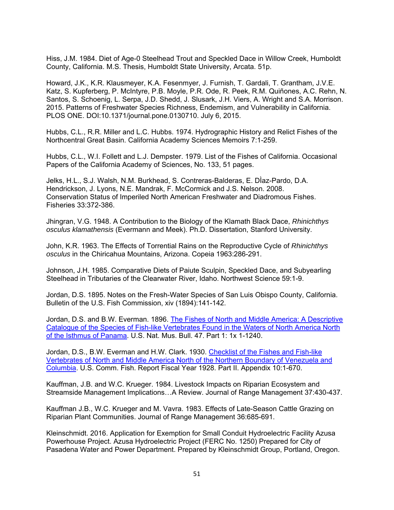Hiss, J.M. 1984. Diet of Age-0 Steelhead Trout and Speckled Dace in Willow Creek, Humboldt County, California. M.S. Thesis, Humboldt State University, Arcata. 51p.

Howard, J.K., K.R. Klausmeyer, K.A. Fesenmyer, J. Furnish, T. Gardali, T. Grantham, J.V.E. Katz, S. Kupferberg, P. McIntyre, P.B. Moyle, P.R. Ode, R. Peek, R.M. Quiñones, A.C. Rehn, N. Santos, S. Schoenig, L. Serpa, J.D. Shedd, J. Slusark, J.H. Viers, A. Wright and S.A. Morrison. 2015. Patterns of Freshwater Species Richness, Endemism, and Vulnerability in California. PLOS ONE. DOI:10.1371/journal.pone.0130710. July 6, 2015.

Hubbs, C.L., R.R. Miller and L.C. Hubbs. 1974. Hydrographic History and Relict Fishes of the Northcentral Great Basin. California Academy Sciences Memoirs 7:1-259.

Hubbs, C.L., W.I. Follett and L.J. Dempster. 1979. List of the Fishes of California. Occasional Papers of the California Academy of Sciences, No. 133, 51 pages.

Jelks, H.L., S.J. Walsh, N.M. Burkhead, S. Contreras-Balderas, E. DÌaz-Pardo, D.A. Hendrickson, J. Lyons, N.E. Mandrak, F. McCormick and J.S. Nelson. 2008. Conservation Status of Imperiled North American Freshwater and Diadromous Fishes. Fisheries 33:372-386.

Jhingran, V.G. 1948. A Contribution to the Biology of the Klamath Black Dace, *Rhinichthys osculus klamathensis* (Evermann and Meek). Ph.D. Dissertation, Stanford University.

John, K.R. 1963. The Effects of Torrential Rains on the Reproductive Cycle of *Rhinichthys osculus* in the Chiricahua Mountains, Arizona. Copeia 1963:286-291.

Johnson, J.H. 1985. Comparative Diets of Paiute Sculpin, Speckled Dace, and Subyearling Steelhead in Tributaries of the Clearwater River, Idaho. Northwest Science 59:1-9.

Jordan, D.S. 1895. Notes on the Fresh-Water Species of San Luis Obispo County, California. Bulletin of the U.S. Fish Commission, xiv (1894):141-142.

Jordan, D.S. and B.W. Everman. 1896. The Fishes of North and Middle America: A Descriptive Catalogue of the Species of Fish-like Vertebrates Found in the Waters of North America North of the Isthmus of Panama. U.S. Nat. Mus. Bull. 47. Part 1: 1x 1-1240.

Jordan, D.S., B.W. Everman and H.W. Clark. 1930. Checklist of the Fishes and Fish-like Vertebrates of North and Middle America North of the Northern Boundary of Venezuela and Columbia. U.S. Comm. Fish. Report Fiscal Year 1928. Part II. Appendix 10:1-670.

Kauffman, J.B. and W.C. Krueger. 1984. Livestock Impacts on Riparian Ecosystem and Streamside Management Implications…A Review. Journal of Range Management 37:430-437.

Kauffman J.B., W.C. Krueger and M. Vavra. 1983. Effects of Late-Season Cattle Grazing on Riparian Plant Communities. Journal of Range Management 36:685-691.

Kleinschmidt. 2016. Application for Exemption for Small Conduit Hydroelectric Facility Azusa Powerhouse Project. Azusa Hydroelectric Project (FERC No. 1250) Prepared for City of Pasadena Water and Power Department. Prepared by Kleinschmidt Group, Portland, Oregon.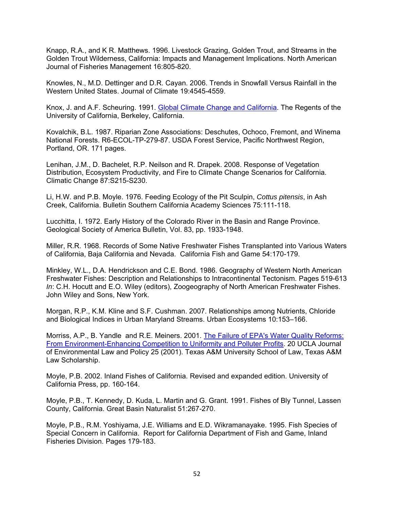Knapp, R.A., and K R. Matthews. 1996. Livestock Grazing, Golden Trout, and Streams in the Golden Trout Wilderness, California: Impacts and Management Implications. North American Journal of Fisheries Management 16:805-820.

Knowles, N., M.D. Dettinger and D.R. Cayan. 2006. Trends in Snowfall Versus Rainfall in the Western United States. Journal of Climate 19:4545-4559.

Knox, J. and A.F. Scheuring. 1991. Global Climate Change and California. The Regents of the University of California, Berkeley, California.

Kovalchik, B.L. 1987. Riparian Zone Associations: Deschutes, Ochoco, Fremont, and Winema National Forests. R6-ECOL-TP-279-87. USDA Forest Service, Pacific Northwest Region, Portland, OR. 171 pages.

Lenihan, J.M., D. Bachelet, R.P. Neilson and R. Drapek. 2008. Response of Vegetation Distribution, Ecosystem Productivity, and Fire to Climate Change Scenarios for California. Climatic Change 87:S215-S230.

Li, H.W. and P.B. Moyle. 1976. Feeding Ecology of the Pit Sculpin, *Cottus pitensis*, in Ash Creek, California. Bulletin Southern California Academy Sciences 75:111-118.

Lucchitta, I. 1972. Early History of the Colorado River in the Basin and Range Province. Geological Society of America Bulletin, Vol. 83, pp. 1933-1948.

Miller, R.R. 1968. Records of Some Native Freshwater Fishes Transplanted into Various Waters of California, Baja California and Nevada. California Fish and Game 54:170-179.

Minkley, W.L., D.A. Hendrickson and C.E. Bond. 1986. Geography of Western North American Freshwater Fishes: Description and Relationships to Intracontinental Tectonism. Pages 519-613 *In*: C.H. Hocutt and E.O. Wiley (editors), Zoogeography of North American Freshwater Fishes. John Wiley and Sons, New York.

Morgan, R.P., K.M. Kline and S.F. Cushman. 2007. Relationships among Nutrients, Chloride and Biological Indices in Urban Maryland Streams. Urban Ecosystems 10:153–166.

Morriss, A.P., B. Yandle and R.E. Meiners. 2001. The Failure of EPA's Water Quality Reforms: From Environment-Enhancing Competition to Uniformity and Polluter Profits. 20 UCLA Journal of Environmental Law and Policy 25 (2001). Texas A&M University School of Law, Texas A&M Law Scholarship.

Moyle, P.B. 2002. Inland Fishes of California. Revised and expanded edition. University of California Press, pp. 160-164.

Moyle, P.B., T. Kennedy, D. Kuda, L. Martin and G. Grant. 1991. Fishes of Bly Tunnel, Lassen County, California. Great Basin Naturalist 51:267-270.

Moyle, P.B., R.M. Yoshiyama, J.E. Williams and E.D. Wikramanayake. 1995. Fish Species of Special Concern in California. Report for California Department of Fish and Game, Inland Fisheries Division. Pages 179-183.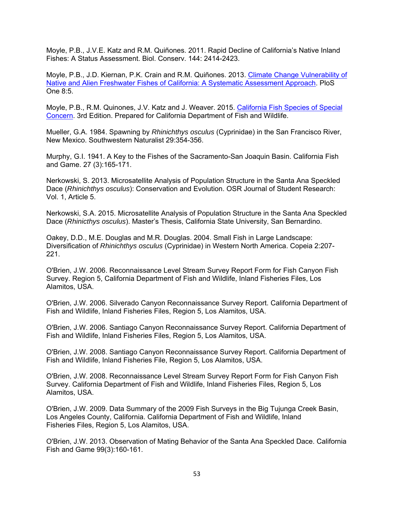Moyle, P.B., J.V.E. Katz and R.M. Quiñones. 2011. Rapid Decline of California's Native Inland Fishes: A Status Assessment. Biol. Conserv. 144: 2414-2423.

Moyle, P.B., J.D. Kiernan, P.K. Crain and R.M. Quiñones. 2013. Climate Change Vulnerability of Native and Alien Freshwater Fishes of California: A Systematic Assessment Approach. PloS One 8:5.

Moyle, P.B., R.M. Quinones, J.V. Katz and J. Weaver. 2015. California Fish Species of Special Concern. 3rd Edition. Prepared for California Department of Fish and Wildlife.

Mueller, G.A. 1984. Spawning by *Rhinichthys osculus* (Cyprinidae) in the San Francisco River, New Mexico. Southwestern Naturalist 29:354-356.

Murphy, G.I. 1941. A Key to the Fishes of the Sacramento-San Joaquin Basin. California Fish and Game. 27 (3):165-171.

Nerkowski, S. 2013. Microsatellite Analysis of Population Structure in the Santa Ana Speckled Dace (*Rhinichthys osculus*): Conservation and Evolution. OSR Journal of Student Research: Vol. 1, Article 5.

Nerkowski, S.A. 2015. Microsatellite Analysis of Population Structure in the Santa Ana Speckled Dace (*Rhinicthys osculus*). Master's Thesis, California State University, San Bernardino.

Oakey, D.D., M.E. Douglas and M.R. Douglas. 2004. Small Fish in Large Landscape: Diversification of *Rhinichthys osculus* (Cyprinidae) in Western North America. Copeia 2:207- 221.

O'Brien, J.W. 2006. Reconnaissance Level Stream Survey Report Form for Fish Canyon Fish Survey. Region 5, California Department of Fish and Wildlife, Inland Fisheries Files, Los Alamitos, USA.

O'Brien, J.W. 2006. Silverado Canyon Reconnaissance Survey Report. California Department of Fish and Wildlife, Inland Fisheries Files, Region 5, Los Alamitos, USA.

O'Brien, J.W. 2006. Santiago Canyon Reconnaissance Survey Report. California Department of Fish and Wildlife, Inland Fisheries Files, Region 5, Los Alamitos, USA.

O'Brien, J.W. 2008. Santiago Canyon Reconnaissance Survey Report. California Department of Fish and Wildlife, Inland Fisheries File, Region 5, Los Alamitos, USA.

O'Brien, J.W. 2008. Reconnaissance Level Stream Survey Report Form for Fish Canyon Fish Survey. California Department of Fish and Wildlife, Inland Fisheries Files, Region 5, Los Alamitos, USA.

O'Brien, J.W. 2009. Data Summary of the 2009 Fish Surveys in the Big Tujunga Creek Basin, Los Angeles County, California. California Department of Fish and Wildlife, Inland Fisheries Files, Region 5, Los Alamitos, USA.

O'Brien, J.W. 2013. Observation of Mating Behavior of the Santa Ana Speckled Dace. California Fish and Game 99(3):160-161.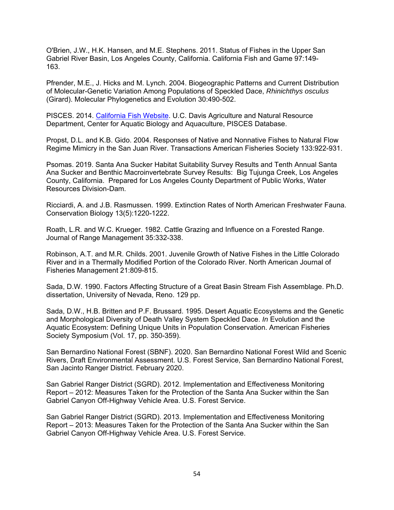O'Brien, J.W., H.K. Hansen, and M.E. Stephens. 2011. Status of Fishes in the Upper San Gabriel River Basin, Los Angeles County, California. California Fish and Game 97:149- 163.

Pfrender, M.E., J. Hicks and M. Lynch. 2004. Biogeographic Patterns and Current Distribution of Molecular-Genetic Variation Among Populations of Speckled Dace, *Rhinichthys osculus* (Girard). Molecular Phylogenetics and Evolution 30:490-502.

PISCES. 2014. California Fish Website. U.C. Davis Agriculture and Natural Resource Department, Center for Aquatic Biology and Aquaculture, PISCES Database.

Propst, D.L. and K.B. Gido. 2004. Responses of Native and Nonnative Fishes to Natural Flow Regime Mimicry in the San Juan River. Transactions American Fisheries Society 133:922-931.

Psomas. 2019. Santa Ana Sucker Habitat Suitability Survey Results and Tenth Annual Santa Ana Sucker and Benthic Macroinvertebrate Survey Results: Big Tujunga Creek, Los Angeles County, California. Prepared for Los Angeles County Department of Public Works, Water Resources Division-Dam.

Ricciardi, A. and J.B. Rasmussen. 1999. Extinction Rates of North American Freshwater Fauna. Conservation Biology 13(5):1220-1222.

Roath, L.R. and W.C. Krueger. 1982. Cattle Grazing and Influence on a Forested Range. Journal of Range Management 35:332-338.

Robinson, A.T. and M.R. Childs. 2001. Juvenile Growth of Native Fishes in the Little Colorado River and in a Thermally Modified Portion of the Colorado River. North American Journal of Fisheries Management 21:809-815.

Sada, D.W. 1990. Factors Affecting Structure of a Great Basin Stream Fish Assemblage. Ph.D. dissertation, University of Nevada, Reno. 129 pp.

Sada, D.W., H.B. Britten and P.F. Brussard. 1995. Desert Aquatic Ecosystems and the Genetic and Morphological Diversity of Death Valley System Speckled Dace. *In* Evolution and the Aquatic Ecosystem: Defining Unique Units in Population Conservation. American Fisheries Society Symposium (Vol. 17, pp. 350-359).

San Bernardino National Forest (SBNF). 2020. San Bernardino National Forest Wild and Scenic Rivers, Draft Environmental Assessment. U.S. Forest Service, San Bernardino National Forest, San Jacinto Ranger District. February 2020.

San Gabriel Ranger District (SGRD). 2012. Implementation and Effectiveness Monitoring Report – 2012: Measures Taken for the Protection of the Santa Ana Sucker within the San Gabriel Canyon Off-Highway Vehicle Area. U.S. Forest Service.

San Gabriel Ranger District (SGRD). 2013. Implementation and Effectiveness Monitoring Report – 2013: Measures Taken for the Protection of the Santa Ana Sucker within the San Gabriel Canyon Off-Highway Vehicle Area. U.S. Forest Service.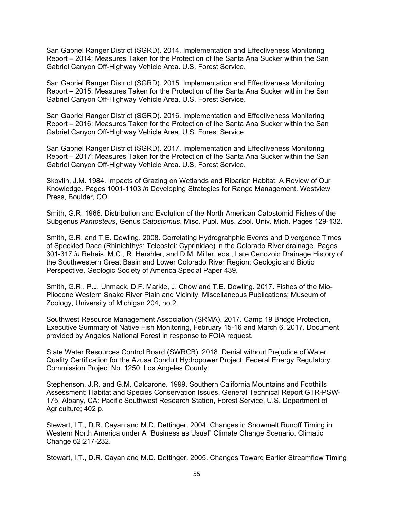San Gabriel Ranger District (SGRD). 2014. Implementation and Effectiveness Monitoring Report – 2014: Measures Taken for the Protection of the Santa Ana Sucker within the San Gabriel Canyon Off-Highway Vehicle Area. U.S. Forest Service.

San Gabriel Ranger District (SGRD). 2015. Implementation and Effectiveness Monitoring Report – 2015: Measures Taken for the Protection of the Santa Ana Sucker within the San Gabriel Canyon Off-Highway Vehicle Area. U.S. Forest Service.

San Gabriel Ranger District (SGRD). 2016. Implementation and Effectiveness Monitoring Report – 2016: Measures Taken for the Protection of the Santa Ana Sucker within the San Gabriel Canyon Off-Highway Vehicle Area. U.S. Forest Service.

San Gabriel Ranger District (SGRD). 2017. Implementation and Effectiveness Monitoring Report – 2017: Measures Taken for the Protection of the Santa Ana Sucker within the San Gabriel Canyon Off-Highway Vehicle Area. U.S. Forest Service.

Skovlin, J.M. 1984. Impacts of Grazing on Wetlands and Riparian Habitat: A Review of Our Knowledge. Pages 1001-1103 *in* Developing Strategies for Range Management. Westview Press, Boulder, CO.

Smith, G.R. 1966. Distribution and Evolution of the North American Catostomid Fishes of the Subgenus *Pantosteus*, Genus *Catostomus*. Misc. Publ. Mus. Zool. Univ. Mich. Pages 129-132.

Smith, G.R. and T.E. Dowling. 2008. Correlating Hydrograhphic Events and Divergence Times of Speckled Dace (Rhinichthys: Teleostei: Cyprinidae) in the Colorado River drainage. Pages 301-317 *in* Reheis, M.C., R. Hershler, and D.M. Miller, eds., Late Cenozoic Drainage History of the Southwestern Great Basin and Lower Colorado River Region: Geologic and Biotic Perspective. Geologic Society of America Special Paper 439.

Smith, G.R., P.J. Unmack, D.F. Markle, J. Chow and T.E. Dowling. 2017. Fishes of the Mio-Pliocene Western Snake River Plain and Vicinity. Miscellaneous Publications: Museum of Zoology, University of Michigan 204, no.2.

Southwest Resource Management Association (SRMA). 2017. Camp 19 Bridge Protection, Executive Summary of Native Fish Monitoring, February 15-16 and March 6, 2017. Document provided by Angeles National Forest in response to FOIA request.

State Water Resources Control Board (SWRCB). 2018. Denial without Prejudice of Water Quality Certification for the Azusa Conduit Hydropower Project; Federal Energy Regulatory Commission Project No. 1250; Los Angeles County.

Stephenson, J.R. and G.M. Calcarone. 1999. Southern California Mountains and Foothills Assessment: Habitat and Species Conservation Issues. General Technical Report GTR-PSW-175. Albany, CA: Pacific Southwest Research Station, Forest Service, U.S. Department of Agriculture; 402 p.

Stewart, I.T., D.R. Cayan and M.D. Dettinger. 2004. Changes in Snowmelt Runoff Timing in Western North America under A "Business as Usual" Climate Change Scenario. Climatic Change 62:217-232.

Stewart, I.T., D.R. Cayan and M.D. Dettinger. 2005. Changes Toward Earlier Streamflow Timing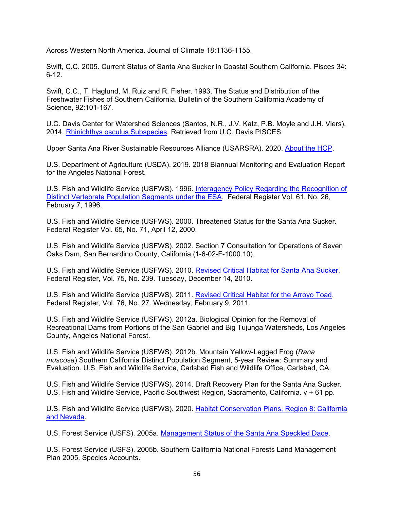Across Western North America. Journal of Climate 18:1136-1155.

Swift, C.C. 2005. Current Status of Santa Ana Sucker in Coastal Southern California. Pisces 34: 6-12.

Swift, C.C., T. Haglund, M. Ruiz and R. Fisher. 1993. The Status and Distribution of the Freshwater Fishes of Southern California. Bulletin of the Southern California Academy of Science, 92:101-167.

U.C. Davis Center for Watershed Sciences (Santos, N.R., J.V. Katz, P.B. Moyle and J.H. Viers). 2014. Rhinichthys osculus Subspecies. Retrieved from U.C. Davis PISCES.

Upper Santa Ana River Sustainable Resources Alliance (USARSRA). 2020. About the HCP.

U.S. Department of Agriculture (USDA). 2019. 2018 Biannual Monitoring and Evaluation Report for the Angeles National Forest.

U.S. Fish and Wildlife Service (USFWS). 1996. Interagency Policy Regarding the Recognition of Distinct Vertebrate Population Segments under the ESA. Federal Register Vol. 61, No. 26, February 7, 1996.

U.S. Fish and Wildlife Service (USFWS). 2000. Threatened Status for the Santa Ana Sucker. Federal Register Vol. 65, No. 71, April 12, 2000.

U.S. Fish and Wildlife Service (USFWS). 2002. Section 7 Consultation for Operations of Seven Oaks Dam, San Bernardino County, California (1-6-02-F-1000.10).

U.S. Fish and Wildlife Service (USFWS). 2010. Revised Critical Habitat for Santa Ana Sucker. Federal Register, Vol. 75, No. 239. Tuesday, December 14, 2010.

U.S. Fish and Wildlife Service (USFWS). 2011. Revised Critical Habitat for the Arroyo Toad. Federal Register, Vol. 76, No. 27. Wednesday, February 9, 2011.

U.S. Fish and Wildlife Service (USFWS). 2012a. Biological Opinion for the Removal of Recreational Dams from Portions of the San Gabriel and Big Tujunga Watersheds, Los Angeles County, Angeles National Forest.

U.S. Fish and Wildlife Service (USFWS). 2012b. Mountain Yellow-Legged Frog (*Rana muscosa*) Southern California Distinct Population Segment, 5-year Review: Summary and Evaluation. U.S. Fish and Wildlife Service, Carlsbad Fish and Wildlife Office, Carlsbad, CA.

U.S. Fish and Wildlife Service (USFWS). 2014. Draft Recovery Plan for the Santa Ana Sucker. U.S. Fish and Wildlife Service, Pacific Southwest Region, Sacramento, California. v + 61 pp.

U.S. Fish and Wildlife Service (USFWS). 2020. Habitat Conservation Plans, Region 8: California and Nevada.

U.S. Forest Service (USFS). 2005a. Management Status of the Santa Ana Speckled Dace.

U.S. Forest Service (USFS). 2005b. Southern California National Forests Land Management Plan 2005. Species Accounts.